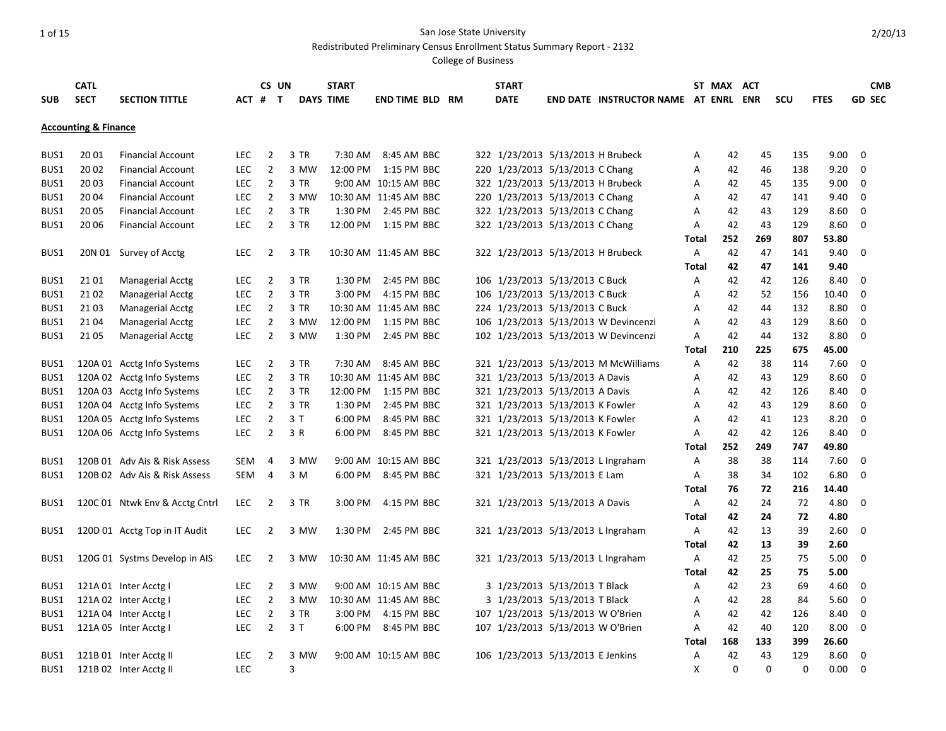Redistributed Preliminary Census Enrollment Status Summary Report - 2132

|            | <b>CATL</b>                     |                                |            | CS UN          |      | <b>START</b>     |                        |  | <b>START</b> |                                   |                                             |              | ST MAX   | <b>ACT</b> |            |             |             | <b>CMB</b>    |
|------------|---------------------------------|--------------------------------|------------|----------------|------|------------------|------------------------|--|--------------|-----------------------------------|---------------------------------------------|--------------|----------|------------|------------|-------------|-------------|---------------|
| <b>SUB</b> | <b>SECT</b>                     | <b>SECTION TITTLE</b>          | ACT #      | $\mathbf{T}$   |      | <b>DAYS TIME</b> | <b>END TIME BLD RM</b> |  | <b>DATE</b>  |                                   | <b>END DATE INSTRUCTOR NAME AT ENRL ENR</b> |              |          |            | <b>SCU</b> | <b>FTES</b> |             | <b>GD SEC</b> |
|            |                                 |                                |            |                |      |                  |                        |  |              |                                   |                                             |              |          |            |            |             |             |               |
|            | <b>Accounting &amp; Finance</b> |                                |            |                |      |                  |                        |  |              |                                   |                                             |              |          |            |            |             |             |               |
|            |                                 |                                |            |                |      |                  |                        |  |              |                                   |                                             |              |          |            |            |             |             |               |
| BUS1       | 20 01                           | <b>Financial Account</b>       | LEC        | 2              | 3 TR |                  | 7:30 AM 8:45 AM BBC    |  |              | 322 1/23/2013 5/13/2013 H Brubeck |                                             | A            | 42       | 45         | 135        | 9.00        | $\mathbf 0$ |               |
| BUS1       | 20 02                           | <b>Financial Account</b>       | LEC        | $\overline{2}$ | 3 MW |                  | 12:00 PM 1:15 PM BBC   |  |              | 220 1/23/2013 5/13/2013 C Chang   |                                             | Α            | 42       | 46         | 138        | 9.20        | 0           |               |
| BUS1       | 20 03                           | <b>Financial Account</b>       | <b>LEC</b> | $\overline{2}$ | 3 TR |                  | 9:00 AM 10:15 AM BBC   |  |              | 322 1/23/2013 5/13/2013 H Brubeck |                                             | A            | 42       | 45         | 135        | 9.00        | $\mathbf 0$ |               |
| BUS1       | 20 04                           | <b>Financial Account</b>       | <b>LEC</b> | $\overline{2}$ | 3 MW |                  | 10:30 AM 11:45 AM BBC  |  |              | 220 1/23/2013 5/13/2013 C Chang   |                                             | Α            | 42       | 47         | 141        | 9.40        | 0           |               |
| BUS1       | 20 05                           | <b>Financial Account</b>       | LEC        | $\overline{2}$ | 3 TR |                  | 1:30 PM 2:45 PM BBC    |  |              | 322 1/23/2013 5/13/2013 C Chang   |                                             | Α            | 42       | 43         | 129        | 8.60        | 0           |               |
| BUS1       | 20 06                           | <b>Financial Account</b>       | <b>LEC</b> | $\overline{2}$ | 3 TR |                  | 12:00 PM 1:15 PM BBC   |  |              | 322 1/23/2013 5/13/2013 C Chang   |                                             | Α            | 42       | 43         | 129        | 8.60        | 0           |               |
|            |                                 |                                |            |                |      |                  |                        |  |              |                                   |                                             | <b>Total</b> | 252      | 269        | 807        | 53.80       |             |               |
| BUS1       |                                 | 20N 01 Survey of Acctg         | <b>LEC</b> | 2              | 3 TR |                  | 10:30 AM 11:45 AM BBC  |  |              | 322 1/23/2013 5/13/2013 H Brubeck |                                             | A            | 42       | 47         | 141        | 9.40        | 0           |               |
|            |                                 |                                |            |                |      |                  |                        |  |              |                                   |                                             | Total        | 42       | 47         | 141        | 9.40        |             |               |
| BUS1       | 2101                            | <b>Managerial Acctg</b>        | <b>LEC</b> | $\overline{2}$ | 3 TR |                  | 1:30 PM 2:45 PM BBC    |  |              | 106 1/23/2013 5/13/2013 C Buck    |                                             | Α            | 42       | 42         | 126        | 8.40        | 0           |               |
| BUS1       | 2102                            | Managerial Acctg               | <b>LEC</b> | $\overline{2}$ | 3 TR | 3:00 PM          | 4:15 PM BBC            |  |              | 106 1/23/2013 5/13/2013 C Buck    |                                             | A            | 42       | 52         | 156        | 10.40       | 0           |               |
| BUS1       | 21 03                           | Managerial Acctg               | <b>LEC</b> | $\overline{2}$ | 3 TR |                  | 10:30 AM 11:45 AM BBC  |  |              | 224 1/23/2013 5/13/2013 C Buck    |                                             | A            | 42       | 44         | 132        | 8.80        | 0           |               |
| BUS1       | 21 04                           | <b>Managerial Acctg</b>        | <b>LEC</b> | $\overline{2}$ | 3 MW |                  | 12:00 PM 1:15 PM BBC   |  |              |                                   | 106 1/23/2013 5/13/2013 W Devincenzi        | A            | 42       | 43         | 129        | 8.60        | 0           |               |
| BUS1       | 21 05                           | Managerial Acctg               | <b>LEC</b> | $\overline{2}$ | 3 MW |                  | 1:30 PM 2:45 PM BBC    |  |              |                                   | 102 1/23/2013 5/13/2013 W Devincenzi        | A            | 42       | 44         | 132        | 8.80        | $\mathbf 0$ |               |
|            |                                 |                                |            |                |      |                  |                        |  |              |                                   |                                             | Total        | 210      | 225        | 675        | 45.00       |             |               |
| BUS1       |                                 | 120A 01 Acctg Info Systems     | LEC        | $\overline{2}$ | 3 TR |                  | 7:30 AM 8:45 AM BBC    |  |              |                                   | 321 1/23/2013 5/13/2013 M McWilliams        | Α            | 42       | 38         | 114        | 7.60        | 0           |               |
| BUS1       |                                 | 120A 02 Acctg Info Systems     | LEC        | $\overline{2}$ | 3 TR |                  | 10:30 AM 11:45 AM BBC  |  |              | 321 1/23/2013 5/13/2013 A Davis   |                                             | A            | 42       | 43         | 129        | 8.60        | 0           |               |
| BUS1       |                                 | 120A 03 Acctg Info Systems     | <b>LEC</b> | $\overline{2}$ | 3 TR |                  | 12:00 PM 1:15 PM BBC   |  |              | 321 1/23/2013 5/13/2013 A Davis   |                                             | A            | 42       | 42         | 126        | 8.40        | 0           |               |
| BUS1       |                                 | 120A 04 Acctg Info Systems     | <b>LEC</b> | $\overline{2}$ | 3 TR | 1:30 PM          | 2:45 PM BBC            |  |              | 321 1/23/2013 5/13/2013 K Fowler  |                                             | Α            | 42       | 43         | 129        | 8.60        | 0           |               |
| BUS1       |                                 | 120A 05 Acctg Info Systems     | <b>LEC</b> | $\overline{2}$ | 3T   | 6:00 PM          | 8:45 PM BBC            |  |              | 321 1/23/2013 5/13/2013 K Fowler  |                                             | A            | 42       | 41         | 123        | 8.20        | $\mathbf 0$ |               |
| BUS1       |                                 | 120A 06 Acctg Info Systems     | <b>LEC</b> | $\overline{2}$ | 3 R  | 6:00 PM          | 8:45 PM BBC            |  |              | 321 1/23/2013 5/13/2013 K Fowler  |                                             | A            | 42       | 42         | 126        | 8.40        | 0           |               |
|            |                                 |                                |            |                |      |                  |                        |  |              |                                   |                                             | Total        | 252      | 249        | 747        | 49.80       |             |               |
| BUS1       |                                 | 120B 01 Adv Ais & Risk Assess  | SEM        | 4              | 3 MW |                  | 9:00 AM 10:15 AM BBC   |  |              |                                   | 321 1/23/2013 5/13/2013 L Ingraham          | Α            | 38       | 38         | 114        | 7.60        | $\mathbf 0$ |               |
| BUS1       |                                 | 120B 02 Adv Ais & Risk Assess  | SEM        | 4              | 3 M  |                  | 6:00 PM 8:45 PM BBC    |  |              | 321 1/23/2013 5/13/2013 E Lam     |                                             | Α            | 38       | 34         | 102        | 6.80        | 0           |               |
|            |                                 |                                |            |                |      |                  |                        |  |              |                                   |                                             | Total        | 76       | 72         | 216        | 14.40       |             |               |
| BUS1       |                                 | 120C 01 Ntwk Env & Acctg Cntrl | <b>LEC</b> | 2              | 3 TR | 3:00 PM          | 4:15 PM BBC            |  |              | 321 1/23/2013 5/13/2013 A Davis   |                                             | A            | 42       | 24         | 72         | 4.80        | 0           |               |
|            |                                 |                                |            |                |      |                  |                        |  |              |                                   |                                             | Total        | 42       | 24         | 72         | 4.80        |             |               |
| BUS1       |                                 | 120D 01 Acctg Top in IT Audit  | <b>LEC</b> | $\overline{2}$ | 3 MW |                  | 1:30 PM 2:45 PM BBC    |  |              |                                   | 321 1/23/2013 5/13/2013 L Ingraham          | Α            | 42       | 13         | 39         | 2.60        | $\Omega$    |               |
|            |                                 |                                |            |                |      |                  |                        |  |              |                                   |                                             | Total        | 42       | 13         | 39         | 2.60        |             |               |
| BUS1       |                                 | 120G 01 Systms Develop in AIS  | <b>LEC</b> | $\overline{2}$ | 3 MW |                  | 10:30 AM 11:45 AM BBC  |  |              |                                   | 321 1/23/2013 5/13/2013 L Ingraham          | Α            | 42       | 25         | 75         | 5.00        | $\mathbf 0$ |               |
|            |                                 |                                |            |                |      |                  |                        |  |              |                                   |                                             | Total        | 42       | 25         | 75         | 5.00        |             |               |
| BUS1       |                                 | 121A 01 Inter Acctg I          | <b>LEC</b> | $\overline{2}$ | 3 MW |                  | 9:00 AM 10:15 AM BBC   |  |              | 3 1/23/2013 5/13/2013 T Black     |                                             | Α            | 42       | 23         | 69         | 4.60        | 0           |               |
| BUS1       |                                 | 121A 02 Inter Acctg I          | LEC        | $\overline{2}$ | 3 MW |                  | 10:30 AM 11:45 AM BBC  |  |              | 3 1/23/2013 5/13/2013 T Black     |                                             | Α            | 42       | 28         | 84         | 5.60        | $\mathbf 0$ |               |
| BUS1       |                                 | 121A 04 Inter Acctg I          | <b>LEC</b> | $\overline{2}$ | 3 TR | 3:00 PM          | 4:15 PM BBC            |  |              | 107 1/23/2013 5/13/2013 W O'Brien |                                             | A            | 42       | 42         | 126        | 8.40        | 0           |               |
| BUS1       |                                 | 121A 05 Inter Acctg I          | <b>LEC</b> | $\overline{2}$ | 3T   |                  | 6:00 PM 8:45 PM BBC    |  |              | 107 1/23/2013 5/13/2013 W O'Brien |                                             | Α            | 42       | 40         | 120        | 8.00        | 0           |               |
|            |                                 |                                |            |                |      |                  |                        |  |              |                                   |                                             | <b>Total</b> | 168      | 133        | 399        | 26.60       |             |               |
| BUS1       |                                 | 121B 01 Inter Acctg II         | LEC        | $\overline{2}$ | 3 MW |                  | 9:00 AM 10:15 AM BBC   |  |              | 106 1/23/2013 5/13/2013 E Jenkins |                                             | Α            | 42       | 43         | 129        | 8.60        | 0           |               |
| BUS1       |                                 | 121B 02 Inter Acctg II         | LEC        |                | 3    |                  |                        |  |              |                                   |                                             | X            | $\Omega$ | O          | $\Omega$   | $0.00\,$    | $\Omega$    |               |
|            |                                 |                                |            |                |      |                  |                        |  |              |                                   |                                             |              |          |            |            |             |             |               |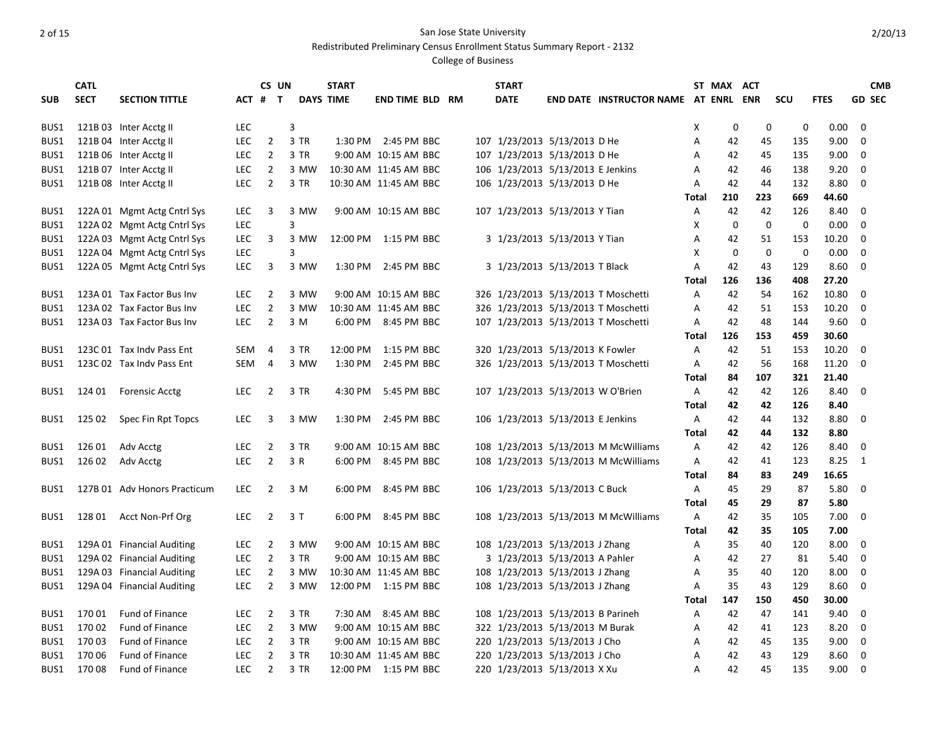Redistributed Preliminary Census Enrollment Status Summary Report - 2132

|            | <b>CATL</b> |                              |            | CS UN          |      | <b>START</b>     |                        |  | <b>START</b> |                                   |                                      |                | ST MAX ACT   |             |             |             |             | <b>CMB</b>    |
|------------|-------------|------------------------------|------------|----------------|------|------------------|------------------------|--|--------------|-----------------------------------|--------------------------------------|----------------|--------------|-------------|-------------|-------------|-------------|---------------|
| <b>SUB</b> | <b>SECT</b> | <b>SECTION TITTLE</b>        |            | ACT # T        |      | <b>DAYS TIME</b> | <b>END TIME BLD RM</b> |  | <b>DATE</b>  |                                   | END DATE INSTRUCTOR NAME AT ENRL ENR |                |              |             | <b>SCU</b>  | <b>FTES</b> |             | <b>GD SEC</b> |
|            |             |                              |            |                |      |                  |                        |  |              |                                   |                                      |                |              |             |             |             |             |               |
| BUS1       |             | 121B 03 Inter Acctg II       | <b>LEC</b> |                | 3    |                  |                        |  |              |                                   |                                      | x              | 0            | 0           | 0           | 0.00        | 0           |               |
| BUS1       |             | 121B 04 Inter Acctg II       | <b>LEC</b> | $\overline{2}$ | 3 TR |                  | 1:30 PM 2:45 PM BBC    |  |              | 107 1/23/2013 5/13/2013 D He      |                                      | Α              | 42           | 45          | 135         | 9.00        | $\mathbf 0$ |               |
| BUS1       |             | 121B 06 Inter Acctg II       | <b>LEC</b> | $\mathbf{2}$   | 3 TR |                  | 9:00 AM 10:15 AM BBC   |  |              | 107 1/23/2013 5/13/2013 D He      |                                      | A              | 42           | 45          | 135         | 9.00        | 0           |               |
| BUS1       |             | 121B 07 Inter Acctg II       | <b>LEC</b> | $\overline{2}$ | 3 MW |                  | 10:30 AM 11:45 AM BBC  |  |              | 106 1/23/2013 5/13/2013 E Jenkins |                                      | Α              | 42           | 46          | 138         | 9.20        | 0           |               |
| BUS1       |             | 121B 08 Inter Acctg II       | <b>LEC</b> | $\overline{2}$ | 3 TR |                  | 10:30 AM 11:45 AM BBC  |  |              | 106 1/23/2013 5/13/2013 D He      |                                      | A              | 42           | 44          | 132         | 8.80        | 0           |               |
|            |             |                              |            |                |      |                  |                        |  |              |                                   |                                      | Total          | 210          | 223         | 669         | 44.60       |             |               |
| BUS1       |             | 122A 01 Mgmt Actg Cntrl Sys  | <b>LEC</b> | 3              | 3 MW |                  | 9:00 AM 10:15 AM BBC   |  |              | 107 1/23/2013 5/13/2013 Y Tian    |                                      | Α              | 42           | 42          | 126         | 8.40        | 0           |               |
| BUS1       |             | 122A 02 Mgmt Actg Cntrl Sys  | <b>LEC</b> |                | 3    |                  |                        |  |              |                                   |                                      | X              | $\mathbf 0$  | $\mathbf 0$ | $\mathbf 0$ | 0.00        | $\mathbf 0$ |               |
| BUS1       |             | 122A 03 Mgmt Actg Cntrl Sys  | LEC        | 3              | 3 MW |                  | 12:00 PM 1:15 PM BBC   |  |              | 3 1/23/2013 5/13/2013 Y Tian      |                                      | Α              | 42           | 51          | 153         | 10.20       | 0           |               |
| BUS1       |             | 122A 04 Mgmt Actg Cntrl Sys  | <b>LEC</b> |                | 3    |                  |                        |  |              |                                   |                                      | X              | $\mathbf{0}$ | $\mathbf 0$ | $\mathbf 0$ | 0.00        | 0           |               |
| BUS1       |             | 122A 05 Mgmt Actg Cntrl Sys  | <b>LEC</b> | 3              | 3 MW |                  | 1:30 PM 2:45 PM BBC    |  |              | 3 1/23/2013 5/13/2013 T Black     |                                      | $\overline{A}$ | 42           | 43          | 129         | 8.60        | 0           |               |
|            |             |                              |            |                |      |                  |                        |  |              |                                   |                                      | Total          | 126          | 136         | 408         | 27.20       |             |               |
| BUS1       |             | 123A 01 Tax Factor Bus Inv   | LEC        | 2              | 3 MW |                  | 9:00 AM 10:15 AM BBC   |  |              |                                   | 326 1/23/2013 5/13/2013 T Moschetti  | Α              | 42           | 54          | 162         | 10.80       | 0           |               |
| BUS1       |             | 123A 02 Tax Factor Bus Inv   | <b>LEC</b> | $\overline{2}$ | 3 MW |                  | 10:30 AM 11:45 AM BBC  |  |              |                                   | 326 1/23/2013 5/13/2013 T Moschetti  | A              | 42           | 51          | 153         | 10.20       | 0           |               |
| BUS1       |             | 123A 03 Tax Factor Bus Inv   | <b>LEC</b> | $\overline{2}$ | 3 M  |                  | 6:00 PM 8:45 PM BBC    |  |              |                                   | 107 1/23/2013 5/13/2013 T Moschetti  | Α              | 42           | 48          | 144         | 9.60        | 0           |               |
|            |             |                              |            |                |      |                  |                        |  |              |                                   |                                      | Total          | 126          | 153         | 459         | 30.60       |             |               |
| BUS1       |             | 123C 01 Tax Indy Pass Ent    | <b>SEM</b> | 4              | 3 TR |                  | 12:00 PM 1:15 PM BBC   |  |              | 320 1/23/2013 5/13/2013 K Fowler  |                                      | Α              | 42           | 51          | 153         | 10.20       | 0           |               |
| BUS1       |             | 123C 02 Tax Indy Pass Ent    | SEM        | 4              | 3 MW |                  | 1:30 PM 2:45 PM BBC    |  |              |                                   | 326 1/23/2013 5/13/2013 T Moschetti  | Α              | 42           | 56          | 168         | 11.20       | 0           |               |
|            |             |                              |            |                |      |                  |                        |  |              |                                   |                                      | Total          | 84           | 107         | 321         | 21.40       |             |               |
| BUS1       |             | 124 01 Forensic Acctg        | <b>LEC</b> | 2              | 3 TR |                  | 4:30 PM 5:45 PM BBC    |  |              | 107 1/23/2013 5/13/2013 W O'Brien |                                      | Α              | 42           | 42          | 126         | 8.40        | 0           |               |
|            |             |                              |            |                |      |                  |                        |  |              |                                   |                                      | Total          | 42           | 42          | 126         | 8.40        |             |               |
| BUS1       | 125 02      | Spec Fin Rpt Topcs           | <b>LEC</b> | 3              | 3 MW |                  | 1:30 PM 2:45 PM BBC    |  |              | 106 1/23/2013 5/13/2013 E Jenkins |                                      | Α              | 42           | 44          | 132         | 8.80        | 0           |               |
|            |             |                              |            |                |      |                  |                        |  |              |                                   |                                      | Total          | 42           | 44          | 132         | 8.80        |             |               |
| BUS1       | 126 01      | Adv Acctg                    | LEC        | 2              | 3 TR |                  | 9:00 AM 10:15 AM BBC   |  |              |                                   | 108 1/23/2013 5/13/2013 M McWilliams | Α              | 42           | 42          | 126         | 8.40        | 0           |               |
| BUS1       | 126 02      | Adv Acctg                    | <b>LEC</b> | $\overline{2}$ | 3 R  |                  | 6:00 PM 8:45 PM BBC    |  |              |                                   | 108 1/23/2013 5/13/2013 M McWilliams | Α              | 42           | 41          | 123         | 8.25        | 1           |               |
|            |             |                              |            |                |      |                  |                        |  |              |                                   |                                      | Total          | 84           | 83          | 249         | 16.65       |             |               |
| BUS1       |             | 127B 01 Adv Honors Practicum | <b>LEC</b> | $\overline{2}$ | 3 M  |                  | 6:00 PM 8:45 PM BBC    |  |              | 106 1/23/2013 5/13/2013 C Buck    |                                      | A              | 45           | 29          | 87          | 5.80        | 0           |               |
|            |             |                              |            |                |      |                  |                        |  |              |                                   |                                      | Total          | 45           | 29          | 87          | 5.80        |             |               |
| BUS1       |             | 128 01 Acct Non-Prf Org      | <b>LEC</b> | 2              | 3 T  |                  | 6:00 PM 8:45 PM BBC    |  |              |                                   | 108 1/23/2013 5/13/2013 M McWilliams | Α              | 42           | 35          | 105         | 7.00        | 0           |               |
|            |             |                              |            |                |      |                  |                        |  |              |                                   |                                      | Total          | 42           | 35          | 105         | 7.00        |             |               |
| BUS1       |             | 129A 01 Financial Auditing   | <b>LEC</b> | 2              | 3 MW |                  | 9:00 AM 10:15 AM BBC   |  |              | 108 1/23/2013 5/13/2013 J Zhang   |                                      | Α              | 35           | 40          | 120         | 8.00        | 0           |               |
| BUS1       |             | 129A 02 Financial Auditing   | <b>LEC</b> | $\overline{2}$ | 3 TR |                  | 9:00 AM 10:15 AM BBC   |  |              | 3 1/23/2013 5/13/2013 A Pahler    |                                      | Α              | 42           | 27          | 81          | 5.40        | $\Omega$    |               |
| BUS1       |             | 129A 03 Financial Auditing   | <b>LEC</b> | 2              | 3 MW |                  | 10:30 AM 11:45 AM BBC  |  |              | 108 1/23/2013 5/13/2013 J Zhang   |                                      | Α              | 35           | 40          | 120         | 8.00        | 0           |               |
| BUS1       |             | 129A 04 Financial Auditing   | <b>LEC</b> | $\overline{2}$ | 3 MW |                  | 12:00 PM 1:15 PM BBC   |  |              | 108 1/23/2013 5/13/2013 J Zhang   |                                      | A              | 35           | 43          | 129         | 8.60        | 0           |               |
|            |             |                              |            |                |      |                  |                        |  |              |                                   |                                      | Total          | 147          | 150         | 450         | 30.00       |             |               |
| BUS1       | 17001       | Fund of Finance              | <b>LEC</b> | $\overline{2}$ | 3 TR |                  | 7:30 AM 8:45 AM BBC    |  |              | 108 1/23/2013 5/13/2013 B Parineh |                                      | Α              | 42           | 47          | 141         | 9.40        | 0           |               |
| BUS1       | 170 02      | Fund of Finance              | <b>LEC</b> | $\overline{2}$ | 3 MW |                  | 9:00 AM 10:15 AM BBC   |  |              | 322 1/23/2013 5/13/2013 M Burak   |                                      | Α              | 42           | 41          | 123         | 8.20        | 0           |               |
| BUS1       | 17003       | Fund of Finance              | <b>LEC</b> | 2              | 3 TR |                  | 9:00 AM 10:15 AM BBC   |  |              | 220 1/23/2013 5/13/2013 J Cho     |                                      | Α              | 42           | 45          | 135         | 9.00        | 0           |               |
| BUS1       | 17006       | Fund of Finance              | <b>LEC</b> | $\overline{2}$ | 3 TR |                  | 10:30 AM 11:45 AM BBC  |  |              | 220 1/23/2013 5/13/2013 J Cho     |                                      | Α              | 42           | 43          | 129         | 8.60        | 0           |               |
| BUS1       | 17008       | <b>Fund of Finance</b>       | <b>LEC</b> | $\overline{2}$ | 3 TR |                  | 12:00 PM 1:15 PM BBC   |  |              | 220 1/23/2013 5/13/2013 X Xu      |                                      | A              | 42           | 45          | 135         | 9.00        | $\mathbf 0$ |               |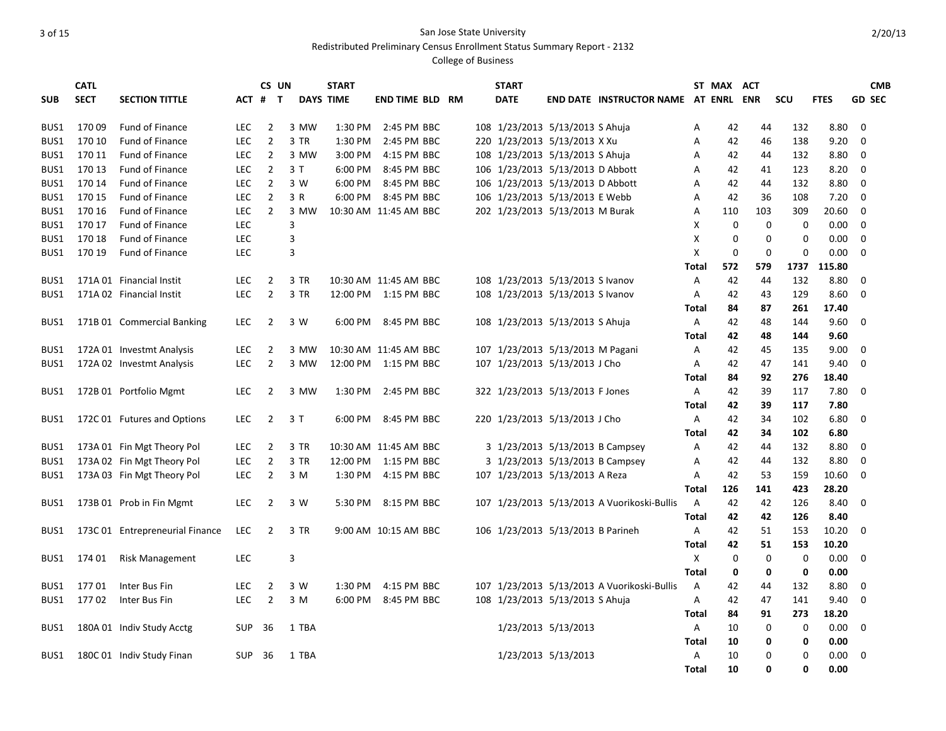Redistributed Preliminary Census Enrollment Status Summary Report - 2132

|            | <b>CATL</b> |                                 |            | CS UN          |                  | <b>START</b> |                        |  | <b>START</b>                      |                     |                                             |              | ST MAX ACT  |             |             |             |               | <b>CMB</b> |
|------------|-------------|---------------------------------|------------|----------------|------------------|--------------|------------------------|--|-----------------------------------|---------------------|---------------------------------------------|--------------|-------------|-------------|-------------|-------------|---------------|------------|
| <b>SUB</b> | <b>SECT</b> | <b>SECTION TITTLE</b>           | ACT #      | $\mathbf{T}$   | <b>DAYS TIME</b> |              | <b>END TIME BLD RM</b> |  | <b>DATE</b>                       |                     | END DATE INSTRUCTOR NAME AT ENRL ENR        |              |             |             | SCU         | <b>FTES</b> | <b>GD SEC</b> |            |
|            |             |                                 |            |                |                  |              |                        |  |                                   |                     |                                             |              |             |             |             |             |               |            |
| BUS1       | 17009       | Fund of Finance                 | <b>LEC</b> | $\overline{2}$ | 3 MW             | 1:30 PM      | 2:45 PM BBC            |  | 108 1/23/2013 5/13/2013 S Ahuja   |                     |                                             | Α            | 42          | 44          | 132         | 8.80        | 0             |            |
| BUS1       | 170 10      | Fund of Finance                 | <b>LEC</b> | $\overline{2}$ | 3 TR             | 1:30 PM      | 2:45 PM BBC            |  | 220 1/23/2013 5/13/2013 X Xu      |                     |                                             | Α            | 42          | 46          | 138         | 9.20        | $\mathbf 0$   |            |
| BUS1       | 170 11      | <b>Fund of Finance</b>          | LEC.       | $\overline{2}$ | 3 MW             | 3:00 PM      | 4:15 PM BBC            |  | 108 1/23/2013 5/13/2013 S Ahuja   |                     |                                             | Α            | 42          | 44          | 132         | 8.80        | 0             |            |
| BUS1       | 170 13      | Fund of Finance                 | <b>LEC</b> | $\overline{2}$ | 3T               |              | 6:00 PM 8:45 PM BBC    |  | 106 1/23/2013 5/13/2013 D Abbott  |                     |                                             | А            | 42          | 41          | 123         | 8.20        | 0             |            |
| BUS1       | 170 14      | Fund of Finance                 | <b>LEC</b> | $\overline{2}$ | 3 W              |              | 6:00 PM 8:45 PM BBC    |  | 106 1/23/2013 5/13/2013 D Abbott  |                     |                                             | А            | 42          | 44          | 132         | 8.80        | 0             |            |
| BUS1       | 170 15      | <b>Fund of Finance</b>          | <b>LEC</b> | $\overline{2}$ | 3 R              |              | 6:00 PM 8:45 PM BBC    |  | 106 1/23/2013 5/13/2013 E Webb    |                     |                                             | Α            | 42          | 36          | 108         | 7.20        | 0             |            |
| BUS1       | 170 16      | <b>Fund of Finance</b>          | <b>LEC</b> | $\overline{2}$ | 3 MW             |              | 10:30 AM 11:45 AM BBC  |  | 202 1/23/2013 5/13/2013 M Burak   |                     |                                             | А            | 110         | 103         | 309         | 20.60       | 0             |            |
| BUS1       | 170 17      | Fund of Finance                 | <b>LEC</b> |                | 3                |              |                        |  |                                   |                     |                                             | х            | 0           | 0           | 0           | 0.00        | 0             |            |
| BUS1       | 170 18      | <b>Fund of Finance</b>          | LEC        |                | 3                |              |                        |  |                                   |                     |                                             | X            | $\mathbf 0$ | $\mathbf 0$ | $\Omega$    | 0.00        | $\mathbf 0$   |            |
| BUS1       | 170 19      | <b>Fund of Finance</b>          | LEC        |                | 3                |              |                        |  |                                   |                     |                                             | X            | $\mathbf 0$ | $\mathbf 0$ | 0           | 0.00        | $\mathbf 0$   |            |
|            |             |                                 |            |                |                  |              |                        |  |                                   |                     |                                             | Total        | 572         | 579         | 1737        | 115.80      |               |            |
| BUS1       |             | 171A 01 Financial Instit        | <b>LEC</b> | $\overline{2}$ | 3 TR             |              | 10:30 AM 11:45 AM BBC  |  | 108 1/23/2013 5/13/2013 S Ivanov  |                     |                                             | Α            | 42          | 44          | 132         | 8.80        | 0             |            |
| BUS1       |             | 171A 02 Financial Instit        | <b>LEC</b> | $\overline{2}$ | 3 TR             |              | 12:00 PM 1:15 PM BBC   |  | 108 1/23/2013 5/13/2013 S Ivanov  |                     |                                             | Α            | 42          | 43          | 129         | 8.60        | 0             |            |
|            |             |                                 |            |                |                  |              |                        |  |                                   |                     |                                             | Total        | 84          | 87          | 261         | 17.40       |               |            |
| BUS1       |             | 171B 01 Commercial Banking      | <b>LEC</b> | $\overline{2}$ | 3 W              |              | 6:00 PM 8:45 PM BBC    |  | 108 1/23/2013 5/13/2013 S Ahuja   |                     |                                             | A            | 42          | 48          | 144         | 9.60        | 0             |            |
|            |             |                                 |            |                |                  |              |                        |  |                                   |                     |                                             | Total        | 42          | 48          | 144         | 9.60        |               |            |
| BUS1       |             | 172A 01 Investmt Analysis       | <b>LEC</b> | $\overline{2}$ | 3 MW             |              | 10:30 AM 11:45 AM BBC  |  | 107 1/23/2013 5/13/2013 M Pagani  |                     |                                             | Α            | 42          | 45          | 135         | 9.00        | 0             |            |
| BUS1       |             | 172A 02 Investmt Analysis       | LEC.       | $\overline{2}$ | 3 MW             |              | 12:00 PM 1:15 PM BBC   |  | 107 1/23/2013 5/13/2013 J Cho     |                     |                                             | Α            | 42          | 47          | 141         | 9.40        | $\mathbf 0$   |            |
|            |             |                                 |            |                |                  |              |                        |  |                                   |                     |                                             | Total        | 84          | 92          | 276         | 18.40       |               |            |
| BUS1       |             | 172B 01 Portfolio Mgmt          | <b>LEC</b> | $\overline{2}$ | 3 MW             |              | 1:30 PM 2:45 PM BBC    |  | 322 1/23/2013 5/13/2013 F Jones   |                     |                                             | Α            | 42          | 39          | 117         | 7.80        | 0             |            |
|            |             |                                 |            |                |                  |              |                        |  |                                   |                     |                                             | Total        | 42          | 39          | 117         | 7.80        |               |            |
| BUS1       |             | 172C 01 Futures and Options     | <b>LEC</b> | 2              | 3T               |              | 6:00 PM 8:45 PM BBC    |  | 220 1/23/2013 5/13/2013 J Cho     |                     |                                             | Α            | 42          | 34          | 102         | 6.80        | 0             |            |
|            |             |                                 |            |                |                  |              |                        |  |                                   |                     |                                             | Total        | 42          | 34          | 102         | 6.80        |               |            |
| BUS1       |             | 173A 01 Fin Mgt Theory Pol      | <b>LEC</b> | $\overline{2}$ | 3 TR             |              | 10:30 AM 11:45 AM BBC  |  |                                   |                     | 3 1/23/2013 5/13/2013 B Campsey             | Α            | 42          | 44          | 132         | 8.80        | 0             |            |
| BUS1       |             | 173A 02 Fin Mgt Theory Pol      | LEC        | $\overline{2}$ | 3 TR             |              | 12:00 PM 1:15 PM BBC   |  |                                   |                     | 3 1/23/2013 5/13/2013 B Campsey             | Α            | 42          | 44          | 132         | 8.80        | 0             |            |
| BUS1       |             | 173A 03 Fin Mgt Theory Pol      | LEC.       | $\overline{2}$ | 3 M              |              | 1:30 PM 4:15 PM BBC    |  | 107 1/23/2013 5/13/2013 A Reza    |                     |                                             | A            | 42          | 53          | 159         | 10.60       | $\Omega$      |            |
|            |             |                                 |            |                |                  |              |                        |  |                                   |                     |                                             | Total        | 126         | 141         | 423         | 28.20       |               |            |
| BUS1       |             | 173B 01 Prob in Fin Mgmt        | <b>LEC</b> | $\overline{2}$ | 3 W              |              | 5:30 PM 8:15 PM BBC    |  |                                   |                     | 107 1/23/2013 5/13/2013 A Vuorikoski-Bullis | A            | 42          | 42          | 126         | 8.40        | 0             |            |
|            |             |                                 |            |                |                  |              |                        |  |                                   |                     |                                             | Total        | 42          | 42          | 126         | 8.40        |               |            |
| BUS1       |             | 173C 01 Entrepreneurial Finance | <b>LEC</b> | $\overline{2}$ | 3 TR             |              | 9:00 AM 10:15 AM BBC   |  | 106 1/23/2013 5/13/2013 B Parineh |                     |                                             | A            | 42          | 51          | 153         | 10.20       | 0             |            |
|            |             |                                 |            |                |                  |              |                        |  |                                   |                     |                                             | Total        | 42          | 51          | 153         | 10.20       |               |            |
| BUS1       | 174 01      | <b>Risk Management</b>          | <b>LEC</b> |                | 3                |              |                        |  |                                   |                     |                                             | X            | 0           | $\mathbf 0$ | $\mathbf 0$ | 0.00        | 0             |            |
|            |             |                                 |            |                |                  |              |                        |  |                                   |                     |                                             | Total        | 0           | $\mathbf 0$ | $\mathbf 0$ | 0.00        |               |            |
| BUS1       | 17701       | Inter Bus Fin                   | LEC        | 2              | 3 W              | 1:30 PM      | 4:15 PM BBC            |  |                                   |                     | 107 1/23/2013 5/13/2013 A Vuorikoski-Bullis | Α            | 42          | 44          | 132         | 8.80        | 0             |            |
| BUS1       | 17702       | Inter Bus Fin                   | <b>LEC</b> | $\overline{2}$ | 3 M              | 6:00 PM      | 8:45 PM BBC            |  | 108 1/23/2013 5/13/2013 S Ahuja   |                     |                                             | Α            | 42          | 47          | 141         | 9.40        | 0             |            |
|            |             |                                 |            |                |                  |              |                        |  |                                   |                     |                                             | Total        | 84          | 91          | 273         | 18.20       |               |            |
| BUS1       |             | 180A 01 Indiv Study Acctg       | <b>SUP</b> | 36             | 1 TBA            |              |                        |  |                                   | 1/23/2013 5/13/2013 |                                             | Α            | 10          | 0           | 0           | 0.00        | 0             |            |
|            |             |                                 |            |                |                  |              |                        |  |                                   |                     |                                             | Total        | 10          | 0           | 0           | 0.00        |               |            |
| BUS1       |             | 180C 01 Indiv Study Finan       | <b>SUP</b> | - 36           | 1 TBA            |              |                        |  |                                   | 1/23/2013 5/13/2013 |                                             | Α            | 10          | $\mathbf 0$ | $\Omega$    | 0.00        | 0             |            |
|            |             |                                 |            |                |                  |              |                        |  |                                   |                     |                                             | <b>Total</b> | 10          | 0           | $\Omega$    | 0.00        |               |            |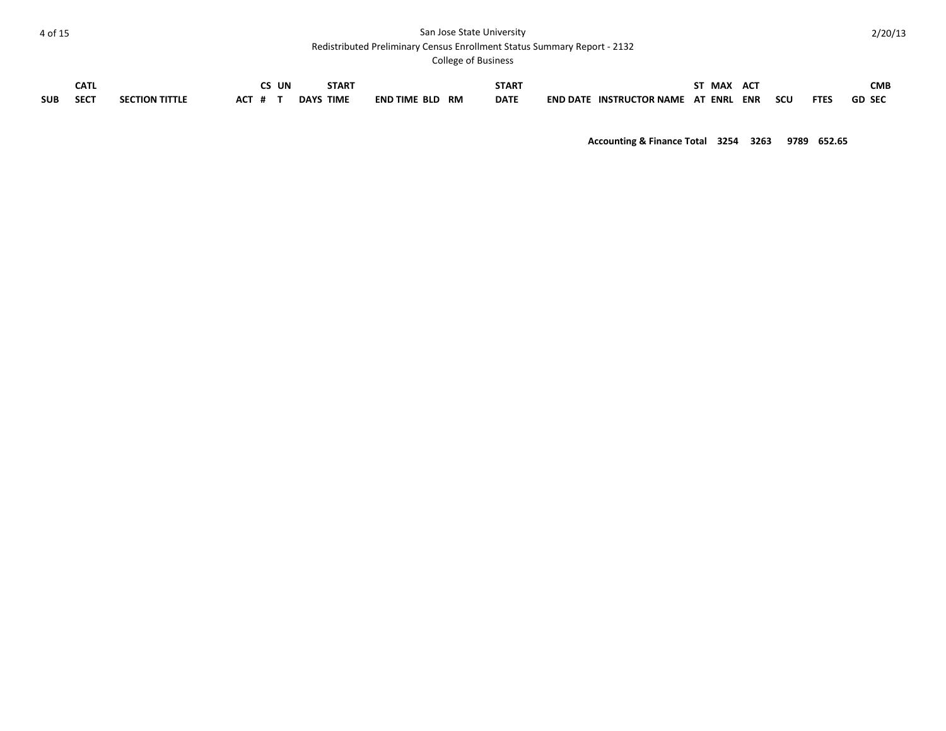Redistributed Preliminary Census Enrollment Status Summary Report - 2132

College of Business

|            | CAT<br>ᅜ    |                       |     | UN | START               |                                  | <b>START</b> |                                      | <b>MAX</b>   | AC <sub>1</sub> |     |             | <b>CMB</b>    |
|------------|-------------|-----------------------|-----|----|---------------------|----------------------------------|--------------|--------------------------------------|--------------|-----------------|-----|-------------|---------------|
| <b>SUB</b> | <b>SECT</b> | <b>SECTION TITTLE</b> | AL. |    | DAYS<br><b>TIME</b> | <b>END TIME BLD</b><br><b>RM</b> | <b>DATE</b>  | <b>END DATE</b><br>. INSTRUCTOR NAME | ENRL<br>- AT | <b>ENR</b>      | scu | <b>FTES</b> | <b>GD SEC</b> |

**Accounting & Finance Total 3254 3263 9789 652.65**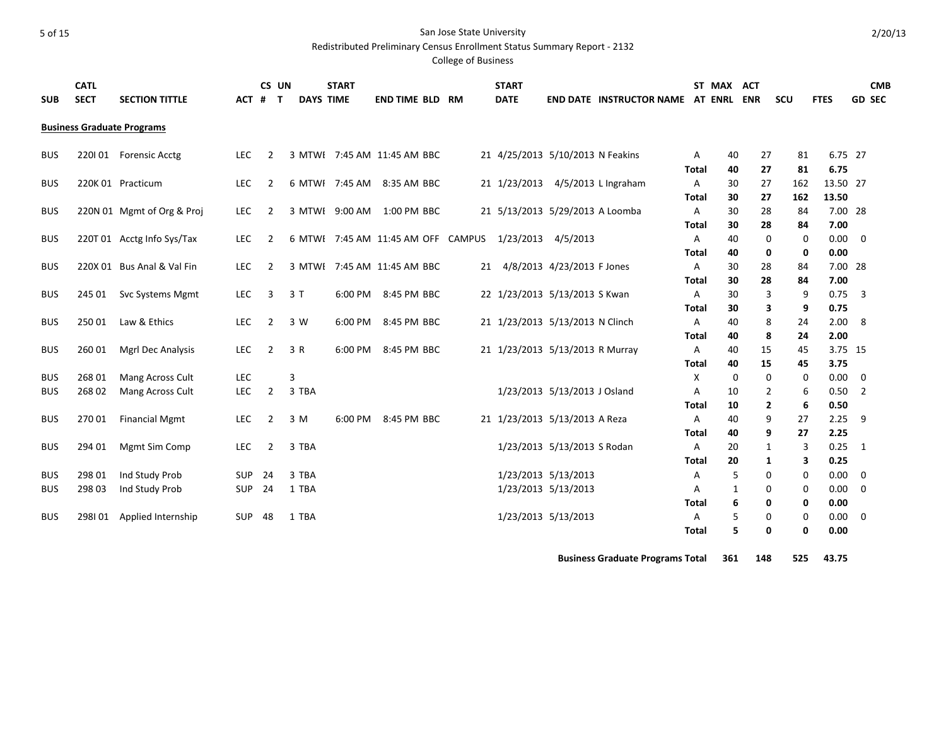#### 5 of 15 San Jose State University Redistributed Preliminary Census Enrollment Status Summary Report - 2132

College of Business

| <b>SUB</b> | <b>CATL</b><br><b>SECT</b> | <b>SECTION TITTLE</b>             | ACT #      | CS UN          | $\mathbf{T}$ | <b>START</b><br><b>DAYS TIME</b> | <b>END TIME BLD RM</b>                       |    | <b>START</b><br><b>DATE</b>      |                              | END DATE INSTRUCTOR NAME AT ENRL ENR |                   | ST MAX ACT |                | SCU       | <b>FTES</b>      |                | <b>CMB</b><br><b>GD SEC</b> |
|------------|----------------------------|-----------------------------------|------------|----------------|--------------|----------------------------------|----------------------------------------------|----|----------------------------------|------------------------------|--------------------------------------|-------------------|------------|----------------|-----------|------------------|----------------|-----------------------------|
|            |                            | <b>Business Graduate Programs</b> |            |                |              |                                  |                                              |    |                                  |                              |                                      |                   |            |                |           |                  |                |                             |
|            |                            |                                   |            |                |              |                                  |                                              |    |                                  |                              |                                      |                   |            |                |           |                  |                |                             |
| <b>BUS</b> |                            | 220101 Forensic Acctg             | <b>LEC</b> | 2              |              |                                  | 3 MTWE 7:45 AM 11:45 AM BBC                  |    | 21 4/25/2013 5/10/2013 N Feakins |                              |                                      | A                 | 40         | 27             | 81        | 6.75 27          |                |                             |
| <b>BUS</b> |                            | 220K 01 Practicum                 | <b>LEC</b> | 2              |              | 6 MTWF 7:45 AM                   | 8:35 AM BBC                                  |    | 21 1/23/2013 4/5/2013 L Ingraham |                              |                                      | Total<br>A        | 40<br>30   | 27<br>27       | 81<br>162 | 6.75<br>13.50 27 |                |                             |
|            |                            |                                   |            |                |              |                                  |                                              |    |                                  |                              |                                      | Total             | 30         | 27             | 162       | 13.50            |                |                             |
| <b>BUS</b> |                            | 220N 01 Mgmt of Org & Proj        | <b>LEC</b> | 2              |              |                                  | 3 MTWE 9:00 AM 1:00 PM BBC                   |    | 21 5/13/2013 5/29/2013 A Loomba  |                              |                                      | Α                 | 30         | 28             | 84        | 7.00 28          |                |                             |
|            |                            |                                   |            |                |              |                                  |                                              |    |                                  |                              |                                      | <b>Total</b>      | 30         | 28             | 84        | 7.00             |                |                             |
| <b>BUS</b> |                            | 220T 01 Acctg Info Sys/Tax        | LEC        | $\overline{2}$ |              |                                  | 6 MTWE 7:45 AM 11:45 AM OFF CAMPUS 1/23/2013 |    |                                  | 4/5/2013                     |                                      | Α                 | 40         | 0              | 0         | 0.00             | 0              |                             |
|            |                            |                                   |            |                |              |                                  |                                              |    |                                  |                              |                                      | Total             | 40         | 0              | 0         | 0.00             |                |                             |
| <b>BUS</b> |                            | 220X 01 Bus Anal & Val Fin        | <b>LEC</b> | $\overline{2}$ |              |                                  | 3 MTWE 7:45 AM 11:45 AM BBC                  | 21 |                                  | 4/8/2013 4/23/2013 F Jones   |                                      | Α                 | 30         | 28             | 84        | 7.00 28          |                |                             |
|            |                            |                                   |            |                |              |                                  |                                              |    |                                  |                              |                                      | <b>Total</b>      | 30         | 28             | 84        | 7.00             |                |                             |
| <b>BUS</b> | 245 01                     | <b>Svc Systems Mgmt</b>           | <b>LEC</b> | 3              | 3T           | 6:00 PM                          | 8:45 PM BBC                                  |    | 22 1/23/2013 5/13/2013 S Kwan    |                              |                                      | Α                 | 30         | 3              | 9         | 0.75             | 3              |                             |
|            |                            |                                   |            |                |              |                                  |                                              |    |                                  |                              |                                      | Total             | 30         | 3              | 9         | 0.75             |                |                             |
| <b>BUS</b> | 250 01                     | Law & Ethics                      | LEC        | $\overline{2}$ | 3 W          | 6:00 PM                          | 8:45 PM BBC                                  |    | 21 1/23/2013 5/13/2013 N Clinch  |                              |                                      | A                 | 40         | 8              | 24        | 2.00             | 8              |                             |
|            |                            |                                   |            |                |              |                                  |                                              |    |                                  |                              |                                      | Total             | 40         | 8              | 24        | 2.00             |                |                             |
| <b>BUS</b> | 260 01                     | Mgrl Dec Analysis                 | <b>LEC</b> | $\overline{2}$ | 3 R          | 6:00 PM                          | 8:45 PM BBC                                  |    | 21 1/23/2013 5/13/2013 R Murray  |                              |                                      | Α                 | 40         | 15             | 45        | 3.75 15          |                |                             |
| <b>BUS</b> | 268 01                     | Mang Across Cult                  | LEC        |                | 3            |                                  |                                              |    |                                  |                              |                                      | <b>Total</b><br>X | 40<br>0    | 15<br>0        | 45<br>0   | 3.75<br>0.00     | 0              |                             |
| <b>BUS</b> | 26802                      | Mang Across Cult                  | <b>LEC</b> | $\overline{2}$ | 3 TBA        |                                  |                                              |    |                                  | 1/23/2013 5/13/2013 J Osland |                                      | A                 | 10         | $\overline{2}$ | 6         | 0.50             | $\overline{2}$ |                             |
|            |                            |                                   |            |                |              |                                  |                                              |    |                                  |                              |                                      | Total             | 10         | $\mathbf{2}$   | 6         | 0.50             |                |                             |
| <b>BUS</b> | 270 01                     | <b>Financial Mgmt</b>             | LEC        | $\overline{2}$ | 3 M          | 6:00 PM                          | 8:45 PM BBC                                  |    | 21 1/23/2013 5/13/2013 A Reza    |                              |                                      | A                 | 40         | 9              | 27        | 2.25             | 9              |                             |
|            |                            |                                   |            |                |              |                                  |                                              |    |                                  |                              |                                      | Total             | 40         | 9              | 27        | 2.25             |                |                             |
| <b>BUS</b> | 294 01                     | Mgmt Sim Comp                     | <b>LEC</b> | $\overline{2}$ | 3 TBA        |                                  |                                              |    |                                  | 1/23/2013 5/13/2013 S Rodan  |                                      | Α                 | 20         | 1              | 3         | 0.25             | 1              |                             |
|            |                            |                                   |            |                |              |                                  |                                              |    |                                  |                              |                                      | <b>Total</b>      | 20         | $\mathbf{1}$   | 3         | 0.25             |                |                             |
| <b>BUS</b> | 298 01                     | Ind Study Prob                    | SUP        | 24             | 3 TBA        |                                  |                                              |    |                                  | 1/23/2013 5/13/2013          |                                      | Α                 | 5          | 0              | 0         | 0.00             | 0              |                             |
| <b>BUS</b> | 298 03                     | Ind Study Prob                    | SUP        | 24             | 1 TBA        |                                  |                                              |    |                                  | 1/23/2013 5/13/2013          |                                      | A                 | 1          | $\Omega$       | 0         | 0.00             | 0              |                             |
|            |                            |                                   |            |                |              |                                  |                                              |    |                                  |                              |                                      | Total             | 6          | 0              | 0         | 0.00             |                |                             |
| <b>BUS</b> | 298101                     | Applied Internship                | SUP        | 48             | 1 TBA        |                                  |                                              |    |                                  | 1/23/2013 5/13/2013          |                                      | А                 | 5          | 0              | 0         | 0.00             | 0              |                             |
|            |                            |                                   |            |                |              |                                  |                                              |    |                                  |                              |                                      | Total             | 5          | 0              | 0         | 0.00             |                |                             |

**Business Graduate Programs Total 361 148 525 43.75**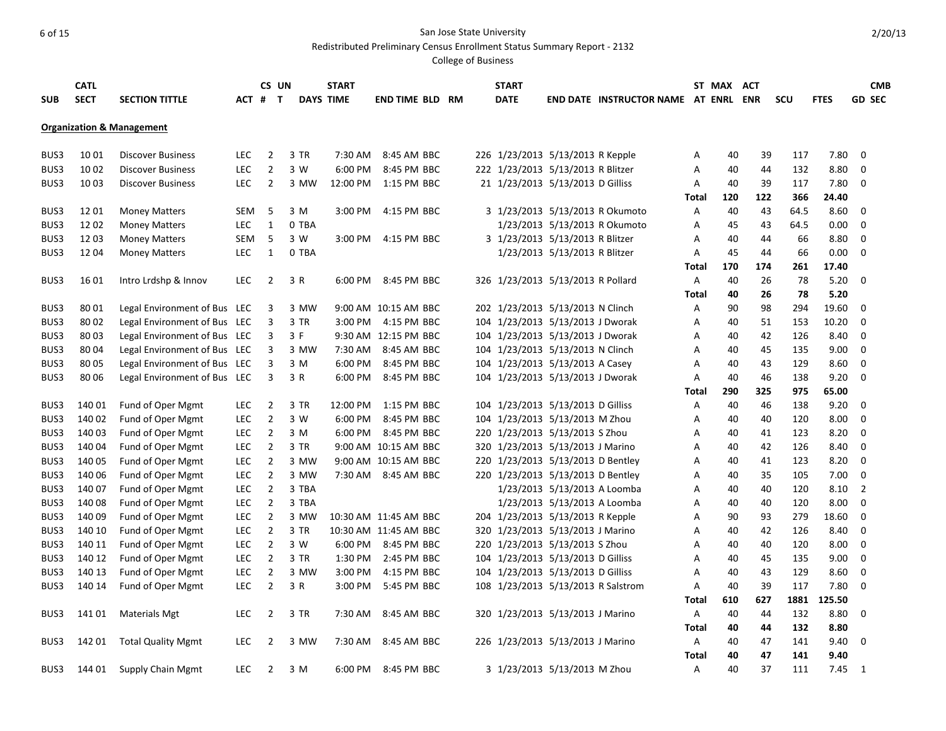Redistributed Preliminary Census Enrollment Status Summary Report - 2132

|            | <b>CATL</b> |                                      |            | CS UN          |       | <b>START</b>     |                        |  | <b>START</b>                       |                               |                                             |              | ST MAX ACT |           |             |               |                | <b>CMB</b>    |
|------------|-------------|--------------------------------------|------------|----------------|-------|------------------|------------------------|--|------------------------------------|-------------------------------|---------------------------------------------|--------------|------------|-----------|-------------|---------------|----------------|---------------|
| <b>SUB</b> | <b>SECT</b> | <b>SECTION TITTLE</b>                | ACT #      | $\mathbf{T}$   |       | <b>DAYS TIME</b> | <b>END TIME BLD RM</b> |  | <b>DATE</b>                        |                               | <b>END DATE INSTRUCTOR NAME AT ENRL ENR</b> |              |            |           | scu         | <b>FTES</b>   |                | <b>GD SEC</b> |
|            |             |                                      |            |                |       |                  |                        |  |                                    |                               |                                             |              |            |           |             |               |                |               |
|            |             | <b>Organization &amp; Management</b> |            |                |       |                  |                        |  |                                    |                               |                                             |              |            |           |             |               |                |               |
| BUS3       | 1001        | <b>Discover Business</b>             | <b>LEC</b> | $\overline{2}$ | 3 TR  | 7:30 AM          | 8:45 AM BBC            |  | 226 1/23/2013 5/13/2013 R Kepple   |                               |                                             | Α            | 40         | 39        | 117         | 7.80          | $\overline{0}$ |               |
| BUS3       | 10 02       | <b>Discover Business</b>             | <b>LEC</b> |                |       | 6:00 PM          | 8:45 PM BBC            |  |                                    |                               |                                             | A            |            | 44        | 132         | 8.80          | 0              |               |
|            |             |                                      |            | $\overline{2}$ | 3 W   |                  |                        |  | 222 1/23/2013 5/13/2013 R Blitzer  |                               |                                             |              | 40         |           |             |               |                |               |
| BUS3       | 1003        | <b>Discover Business</b>             | <b>LEC</b> | $\overline{2}$ | 3 MW  |                  | 12:00 PM 1:15 PM BBC   |  | 21 1/23/2013 5/13/2013 D Gilliss   |                               |                                             | Α            | 40         | 39        | 117         | 7.80          | $\mathbf 0$    |               |
| BUS3       | 1201        | <b>Money Matters</b>                 | SEM        | 5              | 3 M   | 3:00 PM          | 4:15 PM BBC            |  | 3 1/23/2013 5/13/2013 R Okumoto    |                               |                                             | Total<br>Α   | 120<br>40  | 122<br>43 | 366<br>64.5 | 24.40<br>8.60 | 0              |               |
| BUS3       | 1202        | <b>Money Matters</b>                 | <b>LEC</b> | 1              | 0 TBA |                  |                        |  |                                    |                               | 1/23/2013 5/13/2013 R Okumoto               | A            | 45         | 43        | 64.5        | 0.00          | 0              |               |
| BUS3       | 12 03       |                                      | SEM        | 5              | 3 W   | 3:00 PM          | 4:15 PM BBC            |  |                                    |                               |                                             | A            | 40         | 44        | 66          | 8.80          | $\mathbf 0$    |               |
| BUS3       |             | <b>Money Matters</b>                 |            | $\mathbf{1}$   |       |                  |                        |  | 3 1/23/2013 5/13/2013 R Blitzer    |                               |                                             |              | 45         | 44        | 66          | 0.00          | $\mathbf 0$    |               |
|            | 1204        | <b>Money Matters</b>                 | LEC        |                | 0 TBA |                  |                        |  |                                    | 1/23/2013 5/13/2013 R Blitzer |                                             | Α            |            |           |             |               |                |               |
|            |             |                                      |            |                |       |                  |                        |  |                                    |                               |                                             | Total        | 170        | 174       | 261         | 17.40         |                |               |
| BUS3       | 16 01       | Intro Lrdshp & Innov                 | <b>LEC</b> | $\overline{2}$ | 3 R   |                  | 6:00 PM 8:45 PM BBC    |  | 326 1/23/2013 5/13/2013 R Pollard  |                               |                                             | Α            | 40         | 26        | 78          | 5.20          | $\mathbf 0$    |               |
|            |             |                                      |            |                |       |                  |                        |  |                                    |                               |                                             | Total        | 40         | 26        | 78          | 5.20          |                |               |
| BUS3       | 8001        | Legal Environment of Bus LEC         |            | 3              | 3 MW  |                  | 9:00 AM 10:15 AM BBC   |  | 202 1/23/2013 5/13/2013 N Clinch   |                               |                                             | A            | 90         | 98        | 294         | 19.60         | $\Omega$       |               |
| BUS3       | 80 02       | Legal Environment of Bus LEC         |            | 3              | 3 TR  |                  | 3:00 PM 4:15 PM BBC    |  | 104 1/23/2013 5/13/2013 J Dworak   |                               |                                             | Α            | 40         | 51        | 153         | 10.20         | 0              |               |
| BUS3       | 80 03       | Legal Environment of Bus LEC         |            | 3              | 3 F   |                  | 9:30 AM 12:15 PM BBC   |  | 104 1/23/2013 5/13/2013 J Dworak   |                               |                                             | A            | 40         | 42        | 126         | 8.40          | $\mathbf 0$    |               |
| BUS3       | 80 04       | Legal Environment of Bus LEC         |            | 3              | 3 MW  | 7:30 AM          | 8:45 AM BBC            |  | 104 1/23/2013 5/13/2013 N Clinch   |                               |                                             | Α            | 40         | 45        | 135         | 9.00          | 0              |               |
| BUS3       | 80 05       | Legal Environment of Bus LEC         |            | 3              | 3 M   | 6:00 PM          | 8:45 PM BBC            |  | 104 1/23/2013 5/13/2013 A Casey    |                               |                                             | A            | 40         | 43        | 129         | 8.60          | 0              |               |
| BUS3       | 8006        | Legal Environment of Bus LEC         |            | 3              | 3 R   | 6:00 PM          | 8:45 PM BBC            |  | 104 1/23/2013 5/13/2013 J Dworak   |                               |                                             | A            | 40         | 46        | 138         | 9.20          | $\Omega$       |               |
|            |             |                                      |            |                |       |                  |                        |  |                                    |                               |                                             | Total        | 290        | 325       | 975         | 65.00         |                |               |
| BUS3       | 140 01      | Fund of Oper Mgmt                    | <b>LEC</b> | $\overline{2}$ | 3 TR  | 12:00 PM         | 1:15 PM BBC            |  | 104 1/23/2013 5/13/2013 D Gilliss  |                               |                                             | A            | 40         | 46        | 138         | 9.20          | $\Omega$       |               |
| BUS3       | 140 02      | Fund of Oper Mgmt                    | <b>LEC</b> | $\overline{2}$ | 3 W   | 6:00 PM          | 8:45 PM BBC            |  | 104 1/23/2013 5/13/2013 M Zhou     |                               |                                             | Α            | 40         | 40        | 120         | 8.00          | 0              |               |
| BUS3       | 140 03      | Fund of Oper Mgmt                    | <b>LEC</b> | $\overline{2}$ | 3 M   | 6:00 PM          | 8:45 PM BBC            |  | 220 1/23/2013 5/13/2013 S Zhou     |                               |                                             | A            | 40         | 41        | 123         | 8.20          | $\mathbf 0$    |               |
| BUS3       | 14004       | Fund of Oper Mgmt                    | <b>LEC</b> | $\overline{2}$ | 3 TR  |                  | 9:00 AM 10:15 AM BBC   |  | 320 1/23/2013 5/13/2013 J Marino   |                               |                                             | Α            | 40         | 42        | 126         | 8.40          | $\mathbf 0$    |               |
| BUS3       | 140 05      | Fund of Oper Mgmt                    | LEC        | $\overline{2}$ | 3 MW  |                  | 9:00 AM 10:15 AM BBC   |  | 220 1/23/2013 5/13/2013 D Bentley  |                               |                                             | A            | 40         | 41        | 123         | 8.20          | $\mathbf 0$    |               |
| BUS3       | 140 06      | Fund of Oper Mgmt                    | LEC        | $\overline{2}$ | 3 MW  |                  | 7:30 AM 8:45 AM BBC    |  | 220 1/23/2013 5/13/2013 D Bentley  |                               |                                             | A            | 40         | 35        | 105         | 7.00          | $\mathbf 0$    |               |
| BUS3       | 140 07      | Fund of Oper Mgmt                    | <b>LEC</b> | $\overline{2}$ | 3 TBA |                  |                        |  |                                    | 1/23/2013 5/13/2013 A Loomba  |                                             | Α            | 40         | 40        | 120         | 8.10          | 2              |               |
| BUS3       | 140 08      | Fund of Oper Mgmt                    | <b>LEC</b> | $\overline{2}$ | 3 TBA |                  |                        |  |                                    | 1/23/2013 5/13/2013 A Loomba  |                                             | Α            | 40         | 40        | 120         | 8.00          | $\mathbf 0$    |               |
| BUS3       | 14009       | Fund of Oper Mgmt                    | LEC.       | $\overline{2}$ | 3 MW  |                  | 10:30 AM 11:45 AM BBC  |  | 204 1/23/2013 5/13/2013 R Kepple   |                               |                                             | Α            | 90         | 93        | 279         | 18.60         | 0              |               |
| BUS3       | 140 10      | Fund of Oper Mgmt                    | <b>LEC</b> | $\overline{2}$ | 3 TR  |                  | 10:30 AM 11:45 AM BBC  |  | 320 1/23/2013 5/13/2013 J Marino   |                               |                                             | A            | 40         | 42        | 126         | 8.40          | $\mathbf 0$    |               |
| BUS3       | 140 11      | Fund of Oper Mgmt                    | <b>LEC</b> | 2              | 3 W   |                  | 6:00 PM 8:45 PM BBC    |  | 220 1/23/2013 5/13/2013 S Zhou     |                               |                                             | A            | 40         | 40        | 120         | 8.00          | $\mathbf 0$    |               |
| BUS3       | 140 12      | Fund of Oper Mgmt                    | <b>LEC</b> | $\overline{2}$ | 3 TR  | 1:30 PM          | 2:45 PM BBC            |  | 104 1/23/2013 5/13/2013 D Gilliss  |                               |                                             | Α            | 40         | 45        | 135         | 9.00          | $\mathbf 0$    |               |
| BUS3       | 140 13      | Fund of Oper Mgmt                    | <b>LEC</b> | $\overline{2}$ | 3 MW  | 3:00 PM          | 4:15 PM BBC            |  | 104 1/23/2013 5/13/2013 D Gilliss  |                               |                                             | A            | 40         | 43        | 129         | 8.60          | $\mathbf 0$    |               |
| BUS3       | 140 14      | Fund of Oper Mgmt                    | <b>LEC</b> | $\overline{2}$ | 3 R   | 3:00 PM          | 5:45 PM BBC            |  | 108 1/23/2013 5/13/2013 R Salstrom |                               |                                             | A            | 40         | 39        | 117         | 7.80          | $\mathbf 0$    |               |
|            |             |                                      |            |                |       |                  |                        |  |                                    |                               |                                             | Total        | 610        | 627       | 1881        | 125.50        |                |               |
| BUS3       | 14101       | <b>Materials Mgt</b>                 | <b>LEC</b> | 2              | 3 TR  | 7:30 AM          | 8:45 AM BBC            |  | 320 1/23/2013 5/13/2013 J Marino   |                               |                                             | A            | 40         | 44        | 132         | 8.80          | $\Omega$       |               |
|            |             |                                      |            |                |       |                  |                        |  |                                    |                               |                                             | <b>Total</b> | 40         | 44        | 132         | 8.80          |                |               |
| BUS3       | 142 01      | <b>Total Quality Mgmt</b>            | LEC        | 2              | 3 MW  | 7:30 AM          | 8:45 AM BBC            |  | 226 1/23/2013 5/13/2013 J Marino   |                               |                                             | Α            | 40         | 47        | 141         | 9.40          | $\Omega$       |               |
|            |             |                                      |            |                |       |                  |                        |  |                                    |                               |                                             | Total        | 40         | 47        | 141         | 9.40          |                |               |
| BUS3       | 144 01      | <b>Supply Chain Mgmt</b>             | <b>LEC</b> | $\overline{2}$ | 3 M   |                  | 6:00 PM 8:45 PM BBC    |  | 3 1/23/2013 5/13/2013 M Zhou       |                               |                                             | Α            | 40         | 37        | 111         | 7.45          | $\overline{1}$ |               |
|            |             |                                      |            |                |       |                  |                        |  |                                    |                               |                                             |              |            |           |             |               |                |               |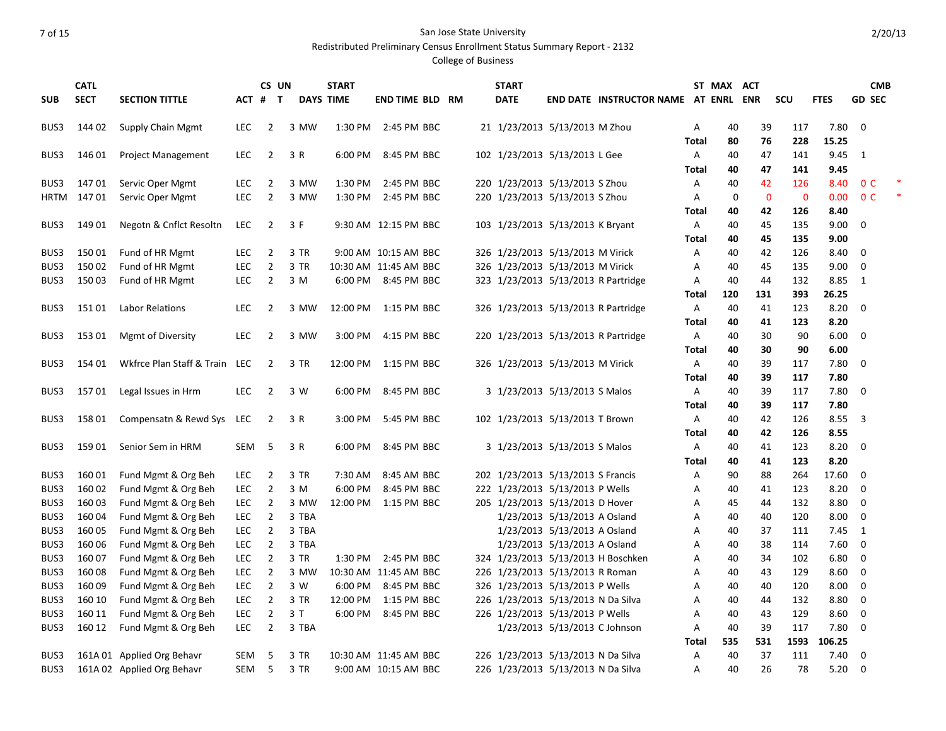Redistributed Preliminary Census Enrollment Status Summary Report - 2132

|             | <b>CATL</b> |                               |            | CS UN          |       | <b>START</b>     |                        |  | <b>START</b>                       |                               |                                      |              | ST MAX ACT  |                |              |             |                | <b>CMB</b>    |  |
|-------------|-------------|-------------------------------|------------|----------------|-------|------------------|------------------------|--|------------------------------------|-------------------------------|--------------------------------------|--------------|-------------|----------------|--------------|-------------|----------------|---------------|--|
| <b>SUB</b>  | <b>SECT</b> | <b>SECTION TITTLE</b>         | ACT #      | $\mathbf{T}$   |       | <b>DAYS TIME</b> | <b>END TIME BLD RM</b> |  | <b>DATE</b>                        |                               | END DATE INSTRUCTOR NAME AT ENRL ENR |              |             |                | scu          | <b>FTES</b> |                | <b>GD SEC</b> |  |
| BUS3        | 144 02      | <b>Supply Chain Mgmt</b>      | <b>LEC</b> | $\overline{2}$ | 3 MW  | 1:30 PM          | 2:45 PM BBC            |  | 21 1/23/2013 5/13/2013 M Zhou      |                               |                                      | Α            | 40          | 39             | 117          | 7.80        | $\mathbf 0$    |               |  |
|             |             |                               |            |                |       |                  |                        |  |                                    |                               |                                      | <b>Total</b> | 80          | 76             | 228          | 15.25       |                |               |  |
| BUS3        | 146 01      | <b>Project Management</b>     | <b>LEC</b> | $\overline{2}$ | 3 R   | 6:00 PM          | 8:45 PM BBC            |  | 102 1/23/2013 5/13/2013 L Gee      |                               |                                      | Α            | 40          | 47             | 141          | 9.45        | 1              |               |  |
|             |             |                               |            |                |       |                  |                        |  |                                    |                               |                                      | Total        | 40          | 47             | 141          | 9.45        |                |               |  |
| BUS3        | 14701       | Servic Oper Mgmt              | <b>LEC</b> | $\overline{2}$ | 3 MW  | 1:30 PM          | 2:45 PM BBC            |  | 220 1/23/2013 5/13/2013 S Zhou     |                               |                                      | Α            | 40          | 42             | 126          | 8.40        | 0 <sup>C</sup> |               |  |
| <b>HRTM</b> | 14701       | Servic Oper Mgmt              | <b>LEC</b> | $\overline{2}$ | 3 MW  | 1:30 PM          | 2:45 PM BBC            |  | 220 1/23/2013 5/13/2013 S Zhou     |                               |                                      | A            | $\mathbf 0$ | $\overline{0}$ | $\mathbf{0}$ | 0.00        | 0 <sup>C</sup> |               |  |
|             |             |                               |            |                |       |                  |                        |  |                                    |                               |                                      | Total        | 40          | 42             | 126          | 8.40        |                |               |  |
| BUS3        | 149 01      | Negotn & Cnflct Resoltn       | <b>LEC</b> | $\overline{2}$ | 3 F   |                  | 9:30 AM 12:15 PM BBC   |  | 103 1/23/2013 5/13/2013 K Bryant   |                               |                                      | Α            | 40          | 45             | 135          | 9.00        | $\mathbf 0$    |               |  |
|             |             |                               |            |                |       |                  |                        |  |                                    |                               |                                      | Total        | 40          | 45             | 135          | 9.00        |                |               |  |
| BUS3        | 15001       | Fund of HR Mgmt               | <b>LEC</b> | $\overline{2}$ | 3 TR  |                  | 9:00 AM 10:15 AM BBC   |  | 326 1/23/2013 5/13/2013 M Virick   |                               |                                      | Α            | 40          | 42             | 126          | 8.40        | $\mathbf 0$    |               |  |
| BUS3        | 15002       | Fund of HR Mgmt               | <b>LEC</b> | $\overline{2}$ | 3 TR  |                  | 10:30 AM 11:45 AM BBC  |  | 326 1/23/2013 5/13/2013 M Virick   |                               |                                      | Α            | 40          | 45             | 135          | 9.00        | $\mathbf 0$    |               |  |
| BUS3        | 15003       | Fund of HR Mgmt               | LEC        | $\overline{2}$ | 3 M   |                  | 6:00 PM 8:45 PM BBC    |  |                                    |                               | 323 1/23/2013 5/13/2013 R Partridge  | Α            | 40          | 44             | 132          | 8.85        | 1              |               |  |
|             |             |                               |            |                |       |                  |                        |  |                                    |                               |                                      | Total        | 120         | 131            | 393          | 26.25       |                |               |  |
| BUS3        | 15101       | <b>Labor Relations</b>        | <b>LEC</b> | $\overline{2}$ | 3 MW  | 12:00 PM         | 1:15 PM BBC            |  |                                    |                               | 326 1/23/2013 5/13/2013 R Partridge  | Α            | 40          | 41             | 123          | 8.20        | $\mathbf 0$    |               |  |
|             |             |                               |            |                |       |                  |                        |  |                                    |                               |                                      | Total        | 40          | 41             | 123          | 8.20        |                |               |  |
| BUS3        | 153 01      | Mgmt of Diversity             | <b>LEC</b> | $\overline{2}$ | 3 MW  | 3:00 PM          | 4:15 PM BBC            |  |                                    |                               | 220 1/23/2013 5/13/2013 R Partridge  | Α            | 40          | 30             | 90           | 6.00        | 0              |               |  |
|             |             |                               |            |                |       |                  |                        |  |                                    |                               |                                      | Total        | 40          | 30             | 90           | 6.00        |                |               |  |
| BUS3        | 154 01      | Wkfrce Plan Staff & Train LEC |            | $\overline{2}$ | 3 TR  | 12:00 PM         | 1:15 PM BBC            |  | 326 1/23/2013 5/13/2013 M Virick   |                               |                                      | Α            | 40          | 39             | 117          | 7.80        | 0              |               |  |
|             |             |                               |            |                |       |                  |                        |  |                                    |                               |                                      | Total        | 40          | 39             | 117          | 7.80        |                |               |  |
| BUS3        | 15701       | Legal Issues in Hrm           | <b>LEC</b> | $\overline{2}$ | 3 W   | 6:00 PM          | 8:45 PM BBC            |  | 3 1/23/2013 5/13/2013 S Malos      |                               |                                      | Α            | 40          | 39             | 117          | 7.80        | $\Omega$       |               |  |
|             |             |                               |            |                |       |                  |                        |  |                                    |                               |                                      | Total        | 40          | 39             | 117          | 7.80        |                |               |  |
| BUS3        | 15801       | Compensatn & Rewd Sys LEC     |            | $\overline{2}$ | 3 R   | 3:00 PM          | 5:45 PM BBC            |  | 102 1/23/2013 5/13/2013 T Brown    |                               |                                      | Α            | 40          | 42             | 126          | 8.55        | 3              |               |  |
|             |             |                               |            |                |       |                  |                        |  |                                    |                               |                                      | Total        | 40          | 42             | 126          | 8.55        |                |               |  |
| BUS3        | 159 01      | Senior Sem in HRM             | <b>SEM</b> | 5              | 3 R   | 6:00 PM          | 8:45 PM BBC            |  | 3 1/23/2013 5/13/2013 S Malos      |                               |                                      | Α            | 40          | 41             | 123          | 8.20        | 0              |               |  |
|             |             |                               |            |                |       |                  |                        |  |                                    |                               |                                      | <b>Total</b> | 40          | 41             | 123          | 8.20        |                |               |  |
| BUS3        | 16001       | Fund Mgmt & Org Beh           | <b>LEC</b> | $\overline{2}$ | 3 TR  | 7:30 AM          | 8:45 AM BBC            |  | 202 1/23/2013 5/13/2013 S Francis  |                               |                                      | Α            | 90          | 88             | 264          | 17.60       | 0              |               |  |
| BUS3        | 160 02      | Fund Mgmt & Org Beh           | <b>LEC</b> | $\overline{2}$ | 3 M   | 6:00 PM          | 8:45 PM BBC            |  | 222 1/23/2013 5/13/2013 P Wells    |                               |                                      | А            | 40          | 41             | 123          | 8.20        | $\mathbf 0$    |               |  |
| BUS3        | 160 03      | Fund Mgmt & Org Beh           | <b>LEC</b> | $\overline{2}$ | 3 MW  | 12:00 PM         | 1:15 PM BBC            |  | 205 1/23/2013 5/13/2013 D Hover    |                               |                                      | А            | 45          | 44             | 132          | 8.80        | $\mathbf 0$    |               |  |
| BUS3        | 16004       | Fund Mgmt & Org Beh           | <b>LEC</b> | $\overline{2}$ | 3 TBA |                  |                        |  |                                    | 1/23/2013 5/13/2013 A Osland  |                                      | A            | 40          | 40             | 120          | 8.00        | 0              |               |  |
| BUS3        | 160 05      | Fund Mgmt & Org Beh           | <b>LEC</b> | $\overline{2}$ | 3 TBA |                  |                        |  |                                    | 1/23/2013 5/13/2013 A Osland  |                                      | Α            | 40          | 37             | 111          | 7.45        | 1              |               |  |
| BUS3        | 160 06      | Fund Mgmt & Org Beh           | LEC        | $\overline{2}$ | 3 TBA |                  |                        |  |                                    | 1/23/2013 5/13/2013 A Osland  |                                      | А            | 40          | 38             | 114          | 7.60        | $\mathbf 0$    |               |  |
| BUS3        | 160 07      | Fund Mgmt & Org Beh           | <b>LEC</b> | $\overline{2}$ | 3 TR  | 1:30 PM          | 2:45 PM BBC            |  |                                    |                               | 324 1/23/2013 5/13/2013 H Boschken   | A            | 40          | 34             | 102          | 6.80        | $\mathbf 0$    |               |  |
| BUS3        | 16008       | Fund Mgmt & Org Beh           | <b>LEC</b> | $\overline{2}$ | 3 MW  |                  | 10:30 AM 11:45 AM BBC  |  | 226 1/23/2013 5/13/2013 R Roman    |                               |                                      | А            | 40          | 43             | 129          | 8.60        | 0              |               |  |
| BUS3        | 16009       | Fund Mgmt & Org Beh           | <b>LEC</b> | $\overline{2}$ | 3 W   | 6:00 PM          | 8:45 PM BBC            |  | 326 1/23/2013 5/13/2013 P Wells    |                               |                                      | A            | 40          | 40             | 120          | 8.00        | $\mathbf 0$    |               |  |
| BUS3        | 160 10      | Fund Mgmt & Org Beh           | <b>LEC</b> | $\overline{2}$ | 3 TR  | 12:00 PM         | 1:15 PM BBC            |  | 226 1/23/2013 5/13/2013 N Da Silva |                               |                                      | A            | 40          | 44             | 132          | 8.80        | $\mathbf 0$    |               |  |
| BUS3        | 160 11      | Fund Mgmt & Org Beh           | LEC        | $\overline{2}$ | 3T    | 6:00 PM          | 8:45 PM BBC            |  | 226 1/23/2013 5/13/2013 P Wells    |                               |                                      | A            | 40          | 43             | 129          | 8.60        | 0              |               |  |
| BUS3        | 160 12      | Fund Mgmt & Org Beh           | <b>LEC</b> | $\overline{2}$ | 3 TBA |                  |                        |  |                                    | 1/23/2013 5/13/2013 C Johnson |                                      | A            | 40          | 39             | 117          | 7.80        | $\mathbf 0$    |               |  |
|             |             |                               |            |                |       |                  |                        |  |                                    |                               |                                      | Total        | 535         | 531            | 1593         | 106.25      |                |               |  |
| BUS3        |             | 161A 01 Applied Org Behavr    | <b>SEM</b> | 5              | 3 TR  |                  | 10:30 AM 11:45 AM BBC  |  | 226 1/23/2013 5/13/2013 N Da Silva |                               |                                      | Α            | 40          | 37             | 111          | 7.40        | $\mathbf 0$    |               |  |
| BUS3        |             | 161A 02 Applied Org Behavr    | SEM        | 5              | 3 TR  |                  | 9:00 AM 10:15 AM BBC   |  | 226 1/23/2013 5/13/2013 N Da Silva |                               |                                      | Α            | 40          | 26             | 78           | 5.20        | $\mathbf 0$    |               |  |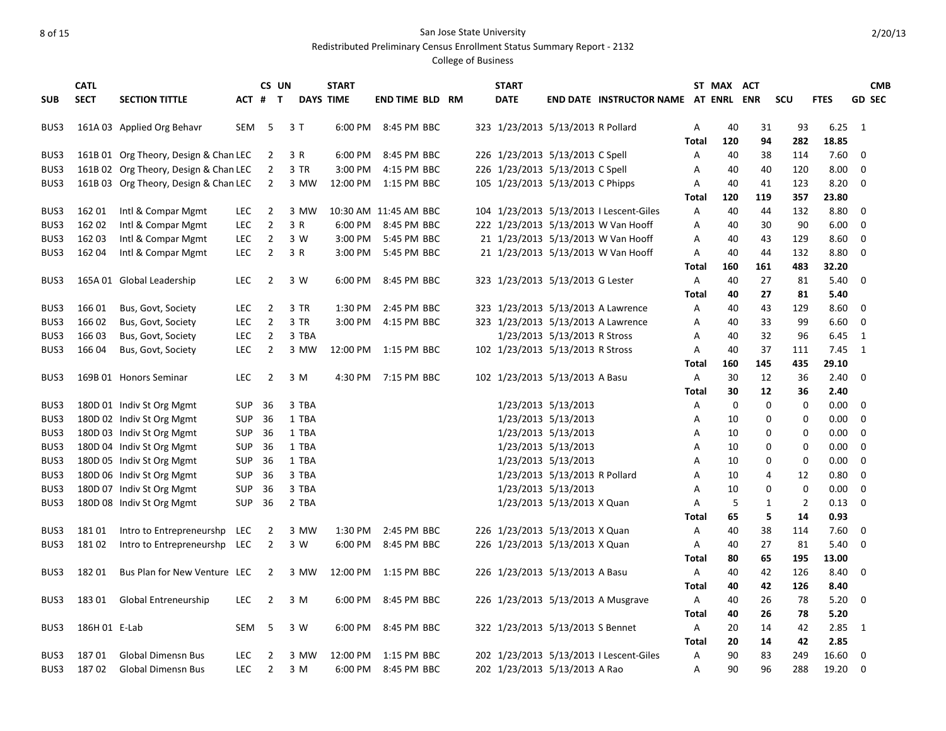#### 8 of 15 San Jose State University Redistributed Preliminary Census Enrollment Status Summary Report - 2132

|            | <b>CATL</b>   |                                       |            | CS UN          |       | <b>START</b>     |                        |  | <b>START</b> |                                   |                                             |       | ST MAX ACT  |             |            |             |               | <b>CMB</b> |
|------------|---------------|---------------------------------------|------------|----------------|-------|------------------|------------------------|--|--------------|-----------------------------------|---------------------------------------------|-------|-------------|-------------|------------|-------------|---------------|------------|
| <b>SUB</b> | <b>SECT</b>   | <b>SECTION TITTLE</b>                 | ACT #      | $\mathbf{T}$   |       | <b>DAYS TIME</b> | <b>END TIME BLD RM</b> |  | <b>DATE</b>  |                                   | <b>END DATE INSTRUCTOR NAME AT ENRL ENR</b> |       |             |             | <b>SCU</b> | <b>FTES</b> | <b>GD SEC</b> |            |
| BUS3       |               | 161A 03 Applied Org Behavr            | SEM        | - 5            | 3T    |                  | 6:00 PM 8:45 PM BBC    |  |              | 323 1/23/2013 5/13/2013 R Pollard |                                             | Α     | 40          | 31          | 93         | 6.25        | 1             |            |
|            |               |                                       |            |                |       |                  |                        |  |              |                                   |                                             | Total | 120         | 94          | 282        | 18.85       |               |            |
| BUS3       |               | 161B 01 Org Theory, Design & Chan LEC |            | 2              | 3 R   | 6:00 PM          | 8:45 PM BBC            |  |              | 226 1/23/2013 5/13/2013 C Spell   |                                             | Α     | 40          | 38          | 114        | 7.60        | 0             |            |
| BUS3       |               | 161B 02 Org Theory, Design & Chan LEC |            | 2              | 3 TR  | 3:00 PM          | 4:15 PM BBC            |  |              | 226 1/23/2013 5/13/2013 C Spell   |                                             | Α     | 40          | 40          | 120        | 8.00        | 0             |            |
| BUS3       |               | 161B 03 Org Theory, Design & Chan LEC |            | $\overline{2}$ | 3 MW  |                  | 12:00 PM 1:15 PM BBC   |  |              | 105 1/23/2013 5/13/2013 C Phipps  |                                             | Α     | 40          | 41          | 123        | 8.20        | $\Omega$      |            |
|            |               |                                       |            |                |       |                  |                        |  |              |                                   |                                             | Total | 120         | 119         | 357        | 23.80       |               |            |
| BUS3       | 162 01        | Intl & Compar Mgmt                    | <b>LEC</b> | $\overline{2}$ | 3 MW  |                  | 10:30 AM 11:45 AM BBC  |  |              |                                   | 104 1/23/2013 5/13/2013   Lescent-Giles     | Α     | 40          | 44          | 132        | 8.80        | 0             |            |
| BUS3       | 162 02        | Intl & Compar Mgmt                    | LEC        | $\overline{2}$ | 3 R   |                  | 6:00 PM 8:45 PM BBC    |  |              |                                   | 222 1/23/2013 5/13/2013 W Van Hooff         | Α     | 40          | 30          | 90         | 6.00        | 0             |            |
| BUS3       | 162 03        | Intl & Compar Mgmt                    | LEC        | 2              | 3 W   |                  | 3:00 PM 5:45 PM BBC    |  |              |                                   | 21 1/23/2013 5/13/2013 W Van Hooff          | Α     | 40          | 43          | 129        | 8.60        | 0             |            |
| BUS3       | 16204         | Intl & Compar Mgmt                    | <b>LEC</b> | $\overline{2}$ | 3 R   |                  | 3:00 PM 5:45 PM BBC    |  |              |                                   | 21 1/23/2013 5/13/2013 W Van Hooff          | Α     | 40          | 44          | 132        | 8.80        | 0             |            |
|            |               |                                       |            |                |       |                  |                        |  |              |                                   |                                             | Total | 160         | 161         | 483        | 32.20       |               |            |
| BUS3       |               | 165A 01 Global Leadership             | LEC.       | 2              | 3 W   |                  | 6:00 PM 8:45 PM BBC    |  |              | 323 1/23/2013 5/13/2013 G Lester  |                                             | Α     | 40          | 27          | 81         | 5.40        | $\Omega$      |            |
|            |               |                                       |            |                |       |                  |                        |  |              |                                   |                                             | Total | 40          | 27          | 81         | 5.40        |               |            |
| BUS3       | 166 01        | Bus, Govt, Society                    | LEC.       | $\overline{2}$ | 3 TR  | 1:30 PM          | 2:45 PM BBC            |  |              |                                   | 323 1/23/2013 5/13/2013 A Lawrence          | Α     | 40          | 43          | 129        | 8.60        | 0             |            |
| BUS3       | 166 02        | Bus, Govt, Society                    | <b>LEC</b> | $\overline{2}$ | 3 TR  | 3:00 PM          | 4:15 PM BBC            |  |              |                                   | 323 1/23/2013 5/13/2013 A Lawrence          | Α     | 40          | 33          | 99         | 6.60        | 0             |            |
| BUS3       | 166 03        | Bus, Govt, Society                    | <b>LEC</b> | 2              | 3 TBA |                  |                        |  |              | 1/23/2013 5/13/2013 R Stross      |                                             | Α     | 40          | 32          | 96         | 6.45        | 1             |            |
| BUS3       | 166 04        | Bus, Govt, Society                    | LEC        | 2              | 3 MW  |                  | 12:00 PM 1:15 PM BBC   |  |              | 102 1/23/2013 5/13/2013 R Stross  |                                             | Α     | 40          | 37          | 111        | 7.45        | 1             |            |
|            |               |                                       |            |                |       |                  |                        |  |              |                                   |                                             | Total | 160         | 145         | 435        | 29.10       |               |            |
| BUS3       |               | 169B 01 Honors Seminar                | LEC.       | 2              | 3 M   |                  | 4:30 PM 7:15 PM BBC    |  |              | 102 1/23/2013 5/13/2013 A Basu    |                                             | A     | 30          | 12          | 36         | 2.40        | 0             |            |
|            |               |                                       |            |                |       |                  |                        |  |              |                                   |                                             | Total | 30          | 12          | 36         | 2.40        |               |            |
| BUS3       |               | 180D 01 Indiv St Org Mgmt             | <b>SUP</b> | 36             | 3 TBA |                  |                        |  |              | 1/23/2013 5/13/2013               |                                             | Α     | $\mathbf 0$ | $\mathbf 0$ | 0          | 0.00        | 0             |            |
| BUS3       |               | 180D 02 Indiv St Org Mgmt             | <b>SUP</b> | 36             | 1 TBA |                  |                        |  |              | 1/23/2013 5/13/2013               |                                             | Α     | 10          | 0           | 0          | 0.00        | 0             |            |
| BUS3       |               | 180D 03 Indiv St Org Mgmt             | <b>SUP</b> | 36             | 1 TBA |                  |                        |  |              | 1/23/2013 5/13/2013               |                                             | A     | 10          | 0           | 0          | 0.00        | 0             |            |
| BUS3       |               | 180D 04 Indiv St Org Mgmt             | <b>SUP</b> | 36             | 1 TBA |                  |                        |  |              | 1/23/2013 5/13/2013               |                                             | Α     | 10          | 0           | 0          | 0.00        | 0             |            |
| BUS3       |               | 180D 05 Indiv St Org Mgmt             | <b>SUP</b> | 36             | 1 TBA |                  |                        |  |              | 1/23/2013 5/13/2013               |                                             | Α     | 10          | 0           | 0          | 0.00        | 0             |            |
| BUS3       |               | 180D 06 Indiv St Org Mgmt             | <b>SUP</b> | 36             | 3 TBA |                  |                        |  |              | 1/23/2013 5/13/2013 R Pollard     |                                             | A     | 10          | 4           | 12         | 0.80        | 0             |            |
| BUS3       |               | 180D 07 Indiv St Org Mgmt             | <b>SUP</b> | 36             | 3 TBA |                  |                        |  |              | 1/23/2013 5/13/2013               |                                             | A     | 10          | 0           | 0          | 0.00        | 0             |            |
| BUS3       |               | 180D 08 Indiv St Org Mgmt             | SUP 36     |                | 2 TBA |                  |                        |  |              | 1/23/2013 5/13/2013 X Quan        |                                             | Α     | 5           | 1           | 2          | 0.13        | 0             |            |
|            |               |                                       |            |                |       |                  |                        |  |              |                                   |                                             | Total | 65          | 5           | 14         | 0.93        |               |            |
| BUS3       | 18101         | Intro to Entrepreneurshp LEC          |            | $\overline{2}$ | 3 MW  | 1:30 PM          | 2:45 PM BBC            |  |              | 226 1/23/2013 5/13/2013 X Quan    |                                             | Α     | 40          | 38          | 114        | 7.60        | 0             |            |
| BUS3       | 18102         | Intro to Entrepreneurshp LEC          |            | 2              | 3 W   | 6:00 PM          | 8:45 PM BBC            |  |              | 226 1/23/2013 5/13/2013 X Quan    |                                             | Α     | 40          | 27          | 81         | 5.40        | $\Omega$      |            |
|            |               |                                       |            |                |       |                  |                        |  |              |                                   |                                             | Total | 80          | 65          | 195        | 13.00       |               |            |
| BUS3       | 18201         | Bus Plan for New Venture LEC          |            | $\overline{2}$ | 3 MW  |                  | 12:00 PM 1:15 PM BBC   |  |              | 226 1/23/2013 5/13/2013 A Basu    |                                             | Α     | 40          | 42          | 126        | 8.40        | 0             |            |
|            |               |                                       |            |                |       |                  |                        |  |              |                                   |                                             | Total | 40          | 42          | 126        | 8.40        |               |            |
| BUS3       | 18301         | Global Entreneurship                  | LEC.       | $\overline{2}$ | 3 M   |                  | 6:00 PM 8:45 PM BBC    |  |              |                                   | 226 1/23/2013 5/13/2013 A Musgrave          | Α     | 40          | 26          | 78         | 5.20        | $\Omega$      |            |
|            |               |                                       |            |                |       |                  |                        |  |              |                                   |                                             | Total | 40          | 26          | 78         | 5.20        |               |            |
| BUS3       | 186H 01 E-Lab |                                       | SEM        | 5              | 3 W   |                  | 6:00 PM 8:45 PM BBC    |  |              | 322 1/23/2013 5/13/2013 S Bennet  |                                             | Α     | 20          | 14          | 42         | 2.85        | 1             |            |
|            |               |                                       |            |                |       |                  |                        |  |              |                                   |                                             | Total | 20          | 14          | 42         | 2.85        |               |            |
| BUS3       | 18701         | <b>Global Dimensn Bus</b>             | <b>LEC</b> | 2              | 3 MW  |                  | 12:00 PM 1:15 PM BBC   |  |              |                                   | 202 1/23/2013 5/13/2013 I Lescent-Giles     | Α     | 90          | 83          | 249        | 16.60       | 0             |            |
| BUS3       | 18702         | <b>Global Dimensn Bus</b>             | <b>LEC</b> | $\overline{2}$ | 3 M   |                  | 6:00 PM 8:45 PM BBC    |  |              | 202 1/23/2013 5/13/2013 A Rao     |                                             | A     | 90          | 96          | 288        | 19.20       | 0             |            |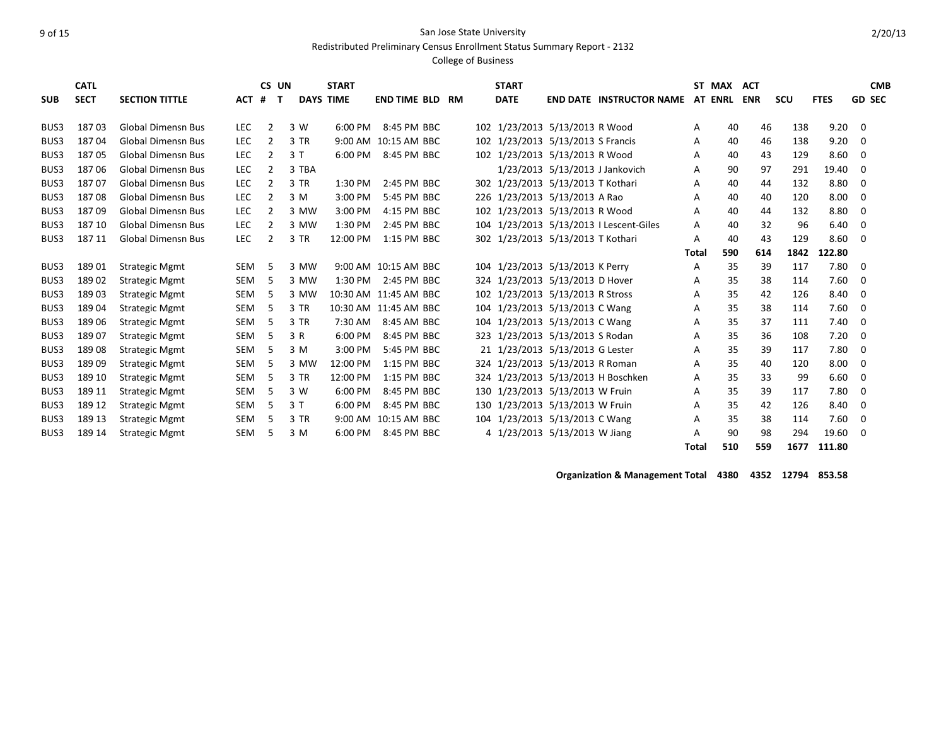Redistributed Preliminary Census Enrollment Status Summary Report - 2132

#### College of Business

|            | <b>CATL</b> |                           |            | CS UN  |        | <b>START</b>     |                       |    | <b>START</b>                      |                                         |              | ST MAX | <b>ACT</b> |      |             |             | <b>CMB</b>    |
|------------|-------------|---------------------------|------------|--------|--------|------------------|-----------------------|----|-----------------------------------|-----------------------------------------|--------------|--------|------------|------|-------------|-------------|---------------|
| <b>SUB</b> | <b>SECT</b> | <b>SECTION TITTLE</b>     | <b>ACT</b> | #<br>т |        | <b>DAYS TIME</b> | <b>END TIME BLD</b>   | RM | <b>DATE</b>                       | <b>END DATE INSTRUCTOR NAME AT ENRL</b> |              |        | <b>ENR</b> | scu  | <b>FTES</b> |             | <b>GD SEC</b> |
| BUS3       | 18703       | <b>Global Dimensn Bus</b> | <b>LEC</b> | 2      | 3 W    | $6:00$ PM        | 8:45 PM BBC           |    | 102 1/23/2013 5/13/2013 R Wood    |                                         | A            | 40     | 46         | 138  | 9.20        | 0           |               |
| BUS3       | 18704       | <b>Global Dimensn Bus</b> | <b>LEC</b> | 2      | 3 TR   |                  | 9:00 AM 10:15 AM BBC  |    | 102 1/23/2013 5/13/2013 S Francis |                                         | A            | 40     | 46         | 138  | 9.20        | $\Omega$    |               |
| BUS3       | 18705       | <b>Global Dimensn Bus</b> | <b>LEC</b> | 2      | 3T     | 6:00 PM          | 8:45 PM BBC           |    | 102 1/23/2013 5/13/2013 R Wood    |                                         | Α            | 40     | 43         | 129  | 8.60        | $\mathbf 0$ |               |
| BUS3       | 18706       | <b>Global Dimensn Bus</b> | <b>LEC</b> |        | 3 TBA  |                  |                       |    |                                   | 1/23/2013 5/13/2013 J Jankovich         |              | 90     | 97         | 291  | 19.40       | $\Omega$    |               |
| BUS3       | 18707       | <b>Global Dimensn Bus</b> | <b>LEC</b> | 2      | 3 TR   | 1:30 PM          | 2:45 PM BBC           |    | 302 1/23/2013 5/13/2013 T Kothari |                                         | A            |        | 44         | 132  | 8.80        |             |               |
|            |             |                           |            |        |        |                  |                       |    |                                   |                                         | A            | 40     |            |      |             | 0           |               |
| BUS3       | 18708       | <b>Global Dimensn Bus</b> | <b>LEC</b> | 2      | 3 M    | 3:00 PM          | 5:45 PM BBC           |    | 226 1/23/2013 5/13/2013 A Rao     |                                         | A            | 40     | 40         | 120  | 8.00        | $\Omega$    |               |
| BUS3       | 18709       | <b>Global Dimensn Bus</b> | <b>LEC</b> | 2      | 3 MW   | 3:00 PM          | 4:15 PM BBC           |    | 102 1/23/2013 5/13/2013 R Wood    |                                         | A            | 40     | 44         | 132  | 8.80        | 0           |               |
| BUS3       | 187 10      | <b>Global Dimensn Bus</b> | LEC        | 2      | 3 MW   | 1:30 PM          | 2:45 PM BBC           |    |                                   | 104 1/23/2013 5/13/2013 I Lescent-Giles | A            | 40     | 32         | 96   | 6.40        | $\mathbf 0$ |               |
| BUS3       | 187 11      | <b>Global Dimensn Bus</b> | <b>LEC</b> | 2      | $3$ TR | 12:00 PM         | 1:15 PM BBC           |    | 302 1/23/2013 5/13/2013 T Kothari |                                         | A            | 40     | 43         | 129  | 8.60        | $\Omega$    |               |
|            |             |                           |            |        |        |                  |                       |    |                                   |                                         | Total        | 590    | 614        | 1842 | 122.80      |             |               |
| BUS3       | 18901       | <b>Strategic Mgmt</b>     | <b>SEM</b> | 5      | 3 MW   |                  | 9:00 AM 10:15 AM BBC  |    | 104 1/23/2013 5/13/2013 K Perry   |                                         | Α            | 35     | 39         | 117  | 7.80        | 0           |               |
| BUS3       | 18902       | <b>Strategic Mgmt</b>     | <b>SEM</b> | .5     | 3 MW   | $1:30$ PM        | 2:45 PM BBC           |    | 324 1/23/2013 5/13/2013 D Hover   |                                         | A            | 35     | 38         | 114  | 7.60        | 0           |               |
| BUS3       | 18903       | <b>Strategic Mgmt</b>     | <b>SEM</b> | .5     | 3 MW   |                  | 10:30 AM 11:45 AM BBC |    | 102 1/23/2013 5/13/2013 R Stross  |                                         | Α            | 35     | 42         | 126  | 8.40        | 0           |               |
| BUS3       | 18904       | <b>Strategic Mgmt</b>     | <b>SEM</b> | 5      | 3 TR   |                  | 10:30 AM 11:45 AM BBC |    | 104 1/23/2013 5/13/2013 C Wang    |                                         | Α            | 35     | 38         | 114  | 7.60        | $\Omega$    |               |
| BUS3       | 18906       | <b>Strategic Mgmt</b>     | <b>SEM</b> | .5     | $3$ TR | 7:30 AM          | 8:45 AM BBC           |    | 104 1/23/2013 5/13/2013 C Wang    |                                         | A            | 35     | 37         | 111  | 7.40        | 0           |               |
| BUS3       | 18907       | <b>Strategic Mgmt</b>     | <b>SEM</b> | 5      | 3 R    | 6:00 PM          | 8:45 PM BBC           |    | 323 1/23/2013 5/13/2013 S Rodan   |                                         | A            | 35     | 36         | 108  | 7.20        | 0           |               |
| BUS3       | 18908       | <b>Strategic Mgmt</b>     | <b>SEM</b> | 5      | 3 M    | $3:00$ PM        | 5:45 PM BBC           |    | 21 1/23/2013 5/13/2013 G Lester   |                                         | A            | 35     | 39         | 117  | 7.80        | $\Omega$    |               |
| BUS3       | 18909       | <b>Strategic Mgmt</b>     | <b>SEM</b> | 5      | 3 MW   | 12:00 PM         | 1:15 PM BBC           |    | 324 1/23/2013 5/13/2013 R Roman   |                                         | Α            | 35     | 40         | 120  | 8.00        | $\Omega$    |               |
| BUS3       | 189 10      | <b>Strategic Mgmt</b>     | <b>SEM</b> | 5      | 3 TR   | 12:00 PM         | 1:15 PM BBC           |    |                                   | 324 1/23/2013 5/13/2013 H Boschken      | Α            | 35     | 33         | 99   | 6.60        | $\Omega$    |               |
| BUS3       | 189 11      | <b>Strategic Mgmt</b>     | <b>SEM</b> | 5      | 3 W    | 6:00 PM          | 8:45 PM BBC           |    | 130 1/23/2013 5/13/2013 W Fruin   |                                         | A            | 35     | 39         | 117  | 7.80        | $\mathbf 0$ |               |
| BUS3       | 189 12      | <b>Strategic Mgmt</b>     | <b>SEM</b> | 5      | 3T     | 6:00 PM          | 8:45 PM BBC           |    | 130 1/23/2013 5/13/2013 W Fruin   |                                         | A            | 35     | 42         | 126  | 8.40        | 0           |               |
| BUS3       | 189 13      | <b>Strategic Mgmt</b>     | <b>SEM</b> | 5      | 3 TR   |                  | 9:00 AM 10:15 AM BBC  |    | 104 1/23/2013 5/13/2013 C Wang    |                                         | Α            | 35     | 38         | 114  | 7.60        | 0           |               |
| BUS3       | 189 14      | <b>Strategic Mgmt</b>     | <b>SEM</b> | 5      | 3 M    | 6:00 PM          | 8:45 PM BBC           |    | 4 1/23/2013 5/13/2013 W Jiang     |                                         | A            | 90     | 98         | 294  | 19.60       | $\Omega$    |               |
|            |             |                           |            |        |        |                  |                       |    |                                   |                                         | <b>Total</b> | 510    | 559        | 1677 | 111.80      |             |               |

**Organization & Management Total 4380 4352 12794 853.58**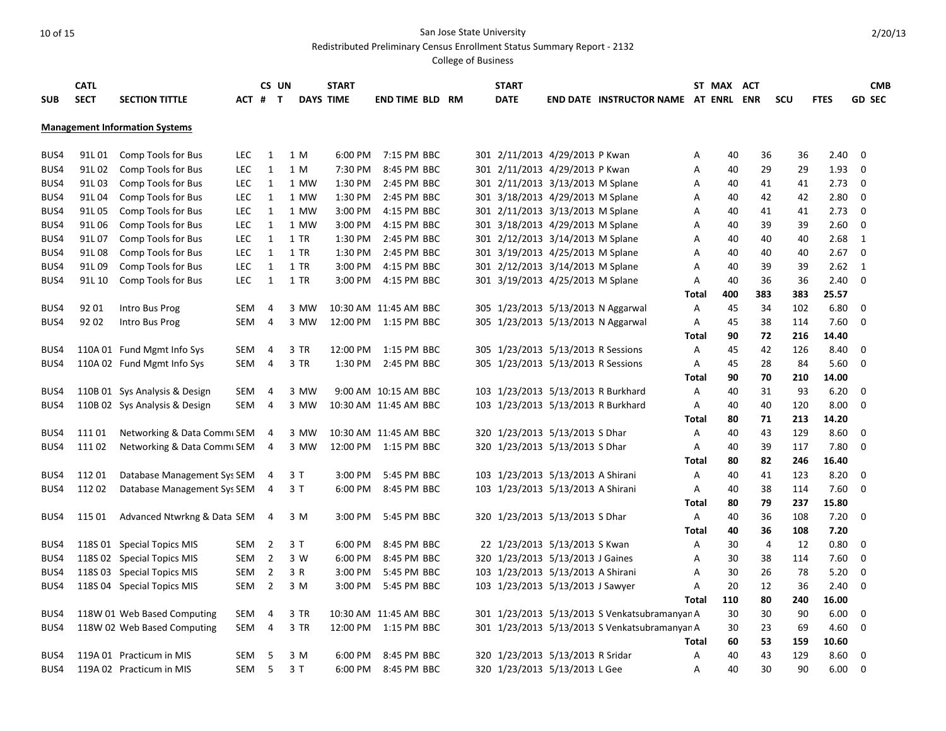Redistributed Preliminary Census Enrollment Status Summary Report - 2132

|            | <b>CATL</b> |                                       |            | CS UN          |      | <b>START</b>     |                        |  | <b>START</b>                       |                                               |       | ST MAX ACT |                |     |             |               | <b>CMB</b> |
|------------|-------------|---------------------------------------|------------|----------------|------|------------------|------------------------|--|------------------------------------|-----------------------------------------------|-------|------------|----------------|-----|-------------|---------------|------------|
| <b>SUB</b> | <b>SECT</b> | <b>SECTION TITTLE</b>                 | ACT #      | $\mathbf{T}$   |      | <b>DAYS TIME</b> | <b>END TIME BLD RM</b> |  | <b>DATE</b>                        | END DATE INSTRUCTOR NAME AT ENRL              |       |            | <b>ENR</b>     | scu | <b>FTES</b> | <b>GD SEC</b> |            |
|            |             | <b>Management Information Systems</b> |            |                |      |                  |                        |  |                                    |                                               |       |            |                |     |             |               |            |
|            |             |                                       |            |                |      |                  |                        |  |                                    |                                               |       |            |                |     |             |               |            |
| BUS4       | 91L 01      | Comp Tools for Bus                    | LEC.       | 1              | 1 M  | 6:00 PM          | 7:15 PM BBC            |  | 301 2/11/2013 4/29/2013 P Kwan     |                                               | A     | 40         | 36             | 36  | 2.40        | 0             |            |
| BUS4       | 91L 02      | Comp Tools for Bus                    | <b>LEC</b> | $\mathbf{1}$   | 1 M  | 7:30 PM          | 8:45 PM BBC            |  | 301 2/11/2013 4/29/2013 P Kwan     |                                               | Α     | 40         | 29             | 29  | 1.93        | 0             |            |
| BUS4       | 91L03       | Comp Tools for Bus                    | <b>LEC</b> | $\mathbf{1}$   | 1 MW | 1:30 PM          | 2:45 PM BBC            |  | 301 2/11/2013 3/13/2013 M Splane   |                                               | Α     | 40         | 41             | 41  | 2.73        | 0             |            |
| BUS4       | 91L 04      | Comp Tools for Bus                    | <b>LEC</b> | $\mathbf{1}$   | 1 MW | 1:30 PM          | 2:45 PM BBC            |  | 301 3/18/2013 4/29/2013 M Splane   |                                               | Α     | 40         | 42             | 42  | 2.80        | 0             |            |
| BUS4       | 91L05       | Comp Tools for Bus                    | <b>LEC</b> | 1              | 1 MW | 3:00 PM          | 4:15 PM BBC            |  | 301 2/11/2013 3/13/2013 M Splane   |                                               | Α     | 40         | 41             | 41  | 2.73        | 0             |            |
| BUS4       | 91L 06      | Comp Tools for Bus                    | <b>LEC</b> | $\mathbf{1}$   | 1 MW | 3:00 PM          | 4:15 PM BBC            |  | 301 3/18/2013 4/29/2013 M Splane   |                                               | Α     | 40         | 39             | 39  | 2.60        | 0             |            |
| BUS4       | 91L07       | Comp Tools for Bus                    | <b>LEC</b> | $\mathbf{1}$   | 1 TR | 1:30 PM          | 2:45 PM BBC            |  | 301 2/12/2013 3/14/2013 M Splane   |                                               | Α     | 40         | 40             | 40  | 2.68        | $\mathbf{1}$  |            |
| BUS4       | 91L08       | <b>Comp Tools for Bus</b>             | <b>LEC</b> | $\mathbf{1}$   | 1 TR | 1:30 PM          | 2:45 PM BBC            |  | 301 3/19/2013 4/25/2013 M Splane   |                                               | A     | 40         | 40             | 40  | 2.67        | $\mathbf 0$   |            |
| BUS4       | 91L09       | Comp Tools for Bus                    | <b>LEC</b> | $\mathbf{1}$   | 1 TR | 3:00 PM          | 4:15 PM BBC            |  | 301 2/12/2013 3/14/2013 M Splane   |                                               | A     | 40         | 39             | 39  | 2.62        | 1             |            |
| BUS4       | 91L 10      | Comp Tools for Bus                    | LEC        | $\mathbf{1}$   | 1 TR |                  | 3:00 PM 4:15 PM BBC    |  | 301 3/19/2013 4/25/2013 M Splane   |                                               | Α     | 40         | 36             | 36  | 2.40        | 0             |            |
|            |             |                                       |            |                |      |                  |                        |  |                                    |                                               | Total | 400        | 383            | 383 | 25.57       |               |            |
| BUS4       | 92 01       | Intro Bus Prog                        | SEM        | 4              | 3 MW |                  | 10:30 AM 11:45 AM BBC  |  |                                    | 305 1/23/2013 5/13/2013 N Aggarwal            | Α     | 45         | 34             | 102 | 6.80        | 0             |            |
| BUS4       | 92 02       | Intro Bus Prog                        | SEM        | 4              | 3 MW |                  | 12:00 PM 1:15 PM BBC   |  |                                    | 305 1/23/2013 5/13/2013 N Aggarwal            | Α     | 45         | 38             | 114 | 7.60        | 0             |            |
|            |             |                                       |            |                |      |                  |                        |  |                                    |                                               | Total | 90         | 72             | 216 | 14.40       |               |            |
| BUS4       |             | 110A 01 Fund Mgmt Info Sys            | SEM        | 4              | 3 TR |                  | 12:00 PM 1:15 PM BBC   |  | 305 1/23/2013 5/13/2013 R Sessions |                                               | A     | 45         | 42             | 126 | 8.40        | 0             |            |
| BUS4       |             | 110A 02 Fund Mgmt Info Sys            | SEM        | 4              | 3 TR |                  | 1:30 PM 2:45 PM BBC    |  | 305 1/23/2013 5/13/2013 R Sessions |                                               | A     | 45         | 28             | 84  | 5.60        | $\mathbf 0$   |            |
|            |             |                                       |            |                |      |                  |                        |  |                                    |                                               | Total | 90         | 70             | 210 | 14.00       |               |            |
| BUS4       |             | 110B 01 Sys Analysis & Design         | SEM        | 4              | 3 MW |                  | 9:00 AM 10:15 AM BBC   |  | 103 1/23/2013 5/13/2013 R Burkhard |                                               | Α     | 40         | 31             | 93  | 6.20        | 0             |            |
| BUS4       |             | 110B 02 Sys Analysis & Design         | <b>SEM</b> | 4              | 3 MW |                  | 10:30 AM 11:45 AM BBC  |  | 103 1/23/2013 5/13/2013 R Burkhard |                                               | A     | 40         | 40             | 120 | 8.00        | $\mathbf 0$   |            |
|            |             |                                       |            |                |      |                  |                        |  |                                    |                                               | Total | 80         | 71             | 213 | 14.20       |               |            |
| BUS4       | 11101       | Networking & Data Commi SEM           |            | 4              | 3 MW |                  | 10:30 AM 11:45 AM BBC  |  | 320 1/23/2013 5/13/2013 S Dhar     |                                               | Α     | 40         | 43             | 129 | 8.60        | 0             |            |
| BUS4       | 111 02      | Networking & Data Commi SEM           |            | 4              | 3 MW |                  | 12:00 PM 1:15 PM BBC   |  | 320 1/23/2013 5/13/2013 S Dhar     |                                               | Α     | 40         | 39             | 117 | 7.80        | $\Omega$      |            |
|            |             |                                       |            |                |      |                  |                        |  |                                    |                                               | Total | 80         | 82             | 246 | 16.40       |               |            |
| BUS4       | 112 01      | Database Management Sys SEM           |            | 4              | 3 T  | 3:00 PM          | 5:45 PM BBC            |  | 103 1/23/2013 5/13/2013 A Shirani  |                                               | Α     | 40         | 41             | 123 | 8.20        | 0             |            |
| BUS4       | 112 02      | Database Management Sys SEM           |            | 4              | 3T   | 6:00 PM          | 8:45 PM BBC            |  | 103 1/23/2013 5/13/2013 A Shirani  |                                               | Α     | 40         | 38             | 114 | 7.60        | 0             |            |
|            |             |                                       |            |                |      |                  |                        |  |                                    |                                               | Total | 80         | 79             | 237 | 15.80       |               |            |
| BUS4       | 115 01      | Advanced Ntwrkng & Data SEM           |            | 4              | 3 M  | 3:00 PM          | 5:45 PM BBC            |  | 320 1/23/2013 5/13/2013 S Dhar     |                                               | Α     | 40         | 36             | 108 | 7.20        | $\mathbf 0$   |            |
|            |             |                                       |            |                |      |                  |                        |  |                                    |                                               | Total | 40         | 36             | 108 | 7.20        |               |            |
| BUS4       |             | 118S 01 Special Topics MIS            | SEM        | $\overline{2}$ | 3 T  | 6:00 PM          | 8:45 PM BBC            |  | 22 1/23/2013 5/13/2013 S Kwan      |                                               | Α     | 30         | $\overline{4}$ | 12  | 0.80        | 0             |            |
| BUS4       |             | 118S 02 Special Topics MIS            | SEM        | $\overline{2}$ | 3 W  | 6:00 PM          | 8:45 PM BBC            |  | 320 1/23/2013 5/13/2013 J Gaines   |                                               | Α     | 30         | 38             | 114 | 7.60        | 0             |            |
| BUS4       |             | 118S 03 Special Topics MIS            | SEM        | $\overline{2}$ | 3 R  | 3:00 PM          | 5:45 PM BBC            |  | 103 1/23/2013 5/13/2013 A Shirani  |                                               | Α     | 30         | 26             | 78  | 5.20        | 0             |            |
| BUS4       |             | 118S 04 Special Topics MIS            | SEM        | $\overline{2}$ | 3 M  | 3:00 PM          | 5:45 PM BBC            |  | 103 1/23/2013 5/13/2013 J Sawyer   |                                               | Α     | 20         | 12             | 36  | 2.40        | $\mathbf 0$   |            |
|            |             |                                       |            |                |      |                  |                        |  |                                    |                                               | Total | 110        | 80             | 240 | 16.00       |               |            |
| BUS4       |             | 118W 01 Web Based Computing           | SEM        | 4              | 3 TR |                  | 10:30 AM 11:45 AM BBC  |  |                                    | 301 1/23/2013 5/13/2013 S Venkatsubramanyan A |       | 30         | 30             | 90  | 6.00        | 0             |            |
| BUS4       |             | 118W 02 Web Based Computing           | SEM        | 4              | 3 TR |                  | 12:00 PM 1:15 PM BBC   |  |                                    | 301 1/23/2013 5/13/2013 S Venkatsubramanyan A |       | 30         | 23             | 69  | 4.60        | 0             |            |
|            |             |                                       |            |                |      |                  |                        |  |                                    |                                               | Total | 60         | 53             | 159 | 10.60       |               |            |
| BUS4       |             | 119A 01 Practicum in MIS              | <b>SEM</b> | 5              | 3 M  | 6:00 PM          | 8:45 PM BBC            |  | 320 1/23/2013 5/13/2013 R Sridar   |                                               | Α     | 40         | 43             | 129 | 8.60        | 0             |            |
| BUS4       |             | 119A 02 Practicum in MIS              | <b>SEM</b> | 5              | 3T   | 6:00 PM          | 8:45 PM BBC            |  | 320 1/23/2013 5/13/2013 L Gee      |                                               | A     | 40         | 30             | 90  | 6.00        | $\mathbf 0$   |            |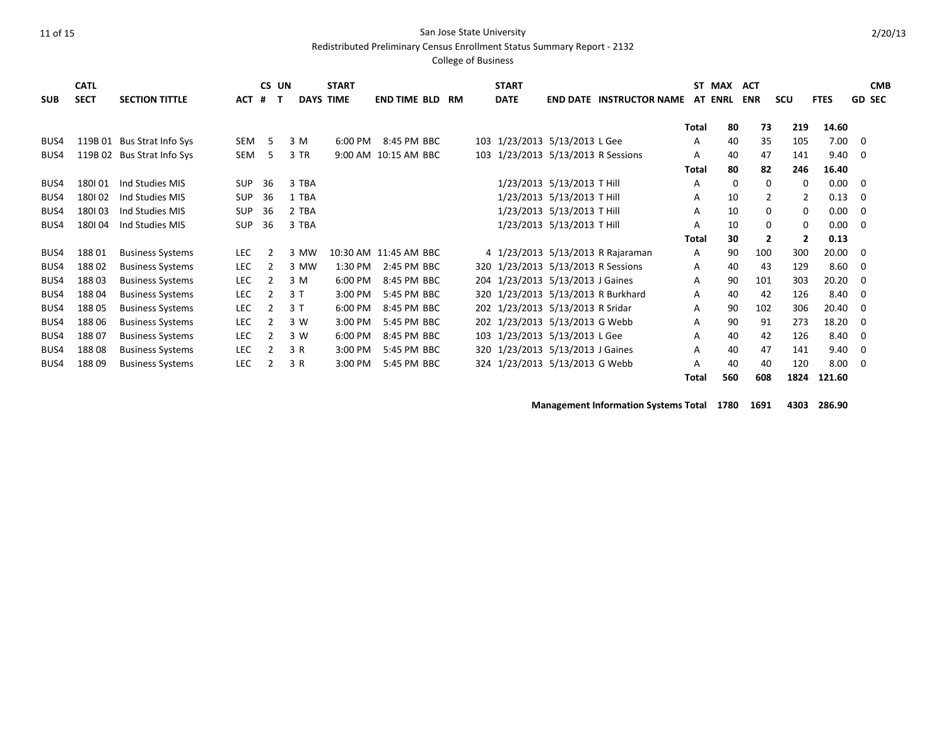Redistributed Preliminary Census Enrollment Status Summary Report - 2132

#### College of Business

| <b>SUB</b> | <b>CATL</b><br><b>SECT</b> | <b>SECTION TITTLE</b>      | <b>ACT</b> | CS UN<br>#<br>п |       | <b>START</b><br><b>DAYS TIME</b> | <b>END TIME BLD</b>   | RM | <b>START</b><br><b>DATE</b>        |                            | <b>END DATE INSTRUCTOR NAME AT ENRL</b> |              | ST MAX | <b>ACT</b><br><b>ENR</b> | scu            | <b>FTES</b> |             | <b>CMB</b><br><b>GD SEC</b> |
|------------|----------------------------|----------------------------|------------|-----------------|-------|----------------------------------|-----------------------|----|------------------------------------|----------------------------|-----------------------------------------|--------------|--------|--------------------------|----------------|-------------|-------------|-----------------------------|
|            |                            |                            |            |                 |       |                                  |                       |    |                                    |                            |                                         |              |        |                          |                |             |             |                             |
|            |                            |                            |            |                 |       |                                  |                       |    |                                    |                            |                                         | <b>Total</b> | 80     | 73                       | 219            | 14.60       |             |                             |
| BUS4       |                            | 119B 01 Bus Strat Info Sys | SEM        | -5              | 3 M   | 6:00 PM                          | 8:45 PM BBC           |    | 103 1/23/2013 5/13/2013 L Gee      |                            |                                         | A            | 40     | 35                       | 105            | 7.00        | 0           |                             |
| BUS4       |                            | 119B 02 Bus Strat Info Sys | SEM        | 5.              | 3 TR  |                                  | 9:00 AM 10:15 AM BBC  |    | 103 1/23/2013 5/13/2013 R Sessions |                            |                                         | A            | 40     | 47                       | 141            | 9.40        | 0           |                             |
|            |                            |                            |            |                 |       |                                  |                       |    |                                    |                            |                                         | <b>Total</b> | 80     | 82                       | 246            | 16.40       |             |                             |
| BUS4       | 180101                     | Ind Studies MIS            | <b>SUP</b> | 36              | 3 TBA |                                  |                       |    |                                    | 1/23/2013 5/13/2013 T Hill |                                         | A            | 0      | 0                        | 0              | 0.00        | 0           |                             |
| BUS4       | 180102                     | Ind Studies MIS            | <b>SUP</b> | 36              | 1 TBA |                                  |                       |    |                                    | 1/23/2013 5/13/2013 T Hill |                                         | A            | 10     | 2                        | 2              | 0.13        | 0           |                             |
| BUS4       | 180103                     | Ind Studies MIS            | <b>SUP</b> | 36              | 2 TBA |                                  |                       |    |                                    | 1/23/2013 5/13/2013 T Hill |                                         | A            | 10     | 0                        | 0              | 0.00        | 0           |                             |
| BUS4       | 180104                     | Ind Studies MIS            | <b>SUP</b> | 36              | 3 TBA |                                  |                       |    |                                    | 1/23/2013 5/13/2013 T Hill |                                         | A            | 10     | 0                        | 0              | 0.00        | 0           |                             |
|            |                            |                            |            |                 |       |                                  |                       |    |                                    |                            |                                         | Total        | 30     | $\overline{2}$           | $\overline{2}$ | 0.13        |             |                             |
| BUS4       | 18801                      | <b>Business Systems</b>    | <b>LEC</b> |                 | 3 MW  |                                  | 10:30 AM 11:45 AM BBC |    |                                    |                            | 4 1/23/2013 5/13/2013 R Rajaraman       | A            | 90     | 100                      | 300            | 20.00       | 0           |                             |
| BUS4       | 18802                      | <b>Business Systems</b>    | <b>LEC</b> |                 | 3 MW  | 1:30 PM                          | 2:45 PM BBC           |    | 320 1/23/2013 5/13/2013 R Sessions |                            |                                         | A            | 40     | 43                       | 129            | 8.60        | 0           |                             |
| BUS4       | 18803                      | <b>Business Systems</b>    | <b>LEC</b> |                 | 3 M   | 6:00 PM                          | 8:45 PM BBC           |    | 204 1/23/2013 5/13/2013 J Gaines   |                            |                                         | A            | 90     | 101                      | 303            | 20.20       | 0           |                             |
| BUS4       | 18804                      | <b>Business Systems</b>    | <b>LEC</b> |                 | 3T    | 3:00 PM                          | 5:45 PM BBC           |    |                                    |                            | 320 1/23/2013 5/13/2013 R Burkhard      | A            | 40     | 42                       | 126            | 8.40        | 0           |                             |
| BUS4       | 18805                      | <b>Business Systems</b>    | <b>LEC</b> |                 | 3T    | 6:00 PM                          | 8:45 PM BBC           |    | 202 1/23/2013 5/13/2013 R Sridar   |                            |                                         | A            | 90     | 102                      | 306            | 20.40       | 0           |                             |
| BUS4       | 188 06                     | <b>Business Systems</b>    | LEC        |                 | 3 W   | 3:00 PM                          | 5:45 PM BBC           |    | 202 1/23/2013 5/13/2013 G Webb     |                            |                                         | A            | 90     | 91                       | 273            | 18.20       | 0           |                             |
| BUS4       | 18807                      | <b>Business Systems</b>    | <b>LEC</b> |                 | 3 W   | 6:00 PM                          | 8:45 PM BBC           |    | 103 1/23/2013 5/13/2013 L Gee      |                            |                                         | A            | 40     | 42                       | 126            | 8.40        | 0           |                             |
| BUS4       | 18808                      | <b>Business Systems</b>    | LEC        |                 | 3 R   | 3:00 PM                          | 5:45 PM BBC           |    | 320 1/23/2013 5/13/2013 J Gaines   |                            |                                         | A            | 40     | 47                       | 141            | 9.40        | $\mathbf 0$ |                             |
| BUS4       | 18809                      | <b>Business Systems</b>    | <b>LEC</b> |                 | 3 R   | 3:00 PM                          | 5:45 PM BBC           |    | 324 1/23/2013 5/13/2013 G Webb     |                            |                                         | A            | 40     | 40                       | 120            | 8.00        | 0           |                             |
|            |                            |                            |            |                 |       |                                  |                       |    |                                    |                            |                                         | Total        | 560    | 608                      | 1824           | 121.60      |             |                             |

**Management Information Systems Total 1780 1691 4303 286.90**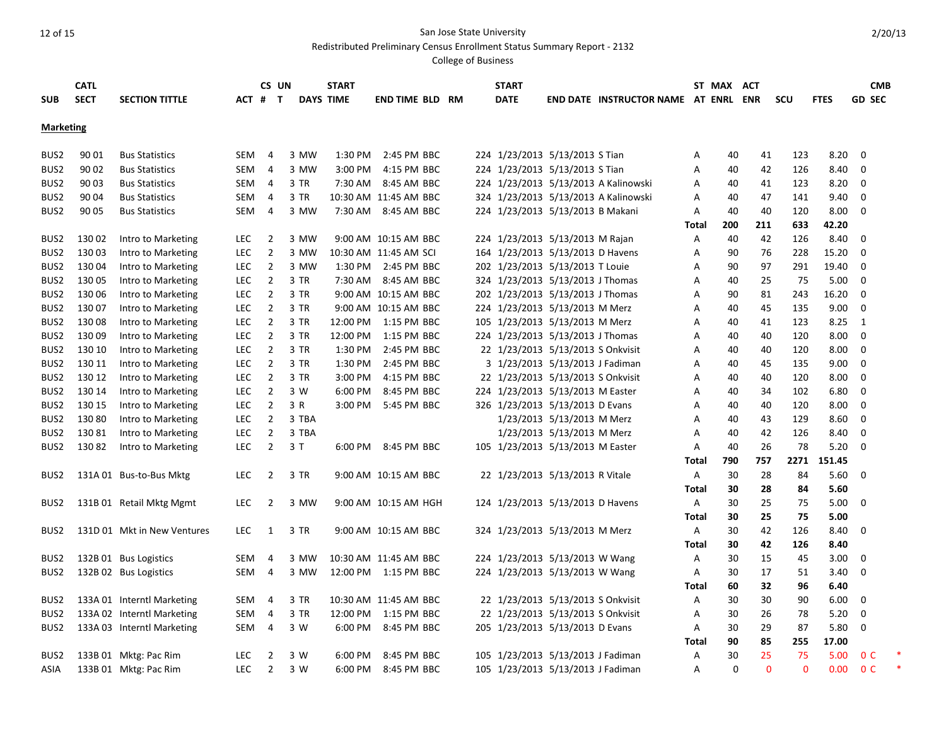Redistributed Preliminary Census Enrollment Status Summary Report - 2132

|                  | <b>CATL</b> |                             |            | CS UN          |       | <b>START</b>     |                        |  | <b>START</b>                      |                            |                                             |                | ST MAX ACT  |          |              |             | <b>CMB</b>     |  |
|------------------|-------------|-----------------------------|------------|----------------|-------|------------------|------------------------|--|-----------------------------------|----------------------------|---------------------------------------------|----------------|-------------|----------|--------------|-------------|----------------|--|
| <b>SUB</b>       | <b>SECT</b> | <b>SECTION TITTLE</b>       | ACT #      | $\mathbf{T}$   |       | <b>DAYS TIME</b> | <b>END TIME BLD RM</b> |  | <b>DATE</b>                       |                            | <b>END DATE INSTRUCTOR NAME AT ENRL ENR</b> |                |             |          | <b>SCU</b>   | <b>FTES</b> | <b>GD SEC</b>  |  |
|                  |             |                             |            |                |       |                  |                        |  |                                   |                            |                                             |                |             |          |              |             |                |  |
| <b>Marketing</b> |             |                             |            |                |       |                  |                        |  |                                   |                            |                                             |                |             |          |              |             |                |  |
| BUS2             | 90 01       | <b>Bus Statistics</b>       | SEM        | 4              | 3 MW  | 1:30 PM          | 2:45 PM BBC            |  | 224 1/23/2013 5/13/2013 S Tian    |                            |                                             | Α              | 40          | 41       | 123          | 8.20        | $\Omega$       |  |
| BUS <sub>2</sub> | 90 02       | <b>Bus Statistics</b>       | SEM        | 4              | 3 MW  | 3:00 PM          | 4:15 PM BBC            |  | 224 1/23/2013 5/13/2013 S Tian    |                            |                                             | Α              | 40          | 42       | 126          | 8.40        | 0              |  |
| BUS <sub>2</sub> | 90 03       | <b>Bus Statistics</b>       | SEM        | 4              | 3 TR  | 7:30 AM          | 8:45 AM BBC            |  |                                   |                            | 224 1/23/2013 5/13/2013 A Kalinowski        | Α              | 40          | 41       | 123          | 8.20        | 0              |  |
| BUS <sub>2</sub> | 90 04       | <b>Bus Statistics</b>       | <b>SEM</b> | 4              | 3 TR  |                  | 10:30 AM 11:45 AM BBC  |  |                                   |                            | 324 1/23/2013 5/13/2013 A Kalinowski        | A              | 40          | 47       | 141          | 9.40        | 0              |  |
| BUS <sub>2</sub> | 90 05       | <b>Bus Statistics</b>       | SEM        | $\overline{4}$ | 3 MW  |                  | 7:30 AM 8:45 AM BBC    |  | 224 1/23/2013 5/13/2013 B Makani  |                            |                                             | A              | 40          | 40       | 120          | 8.00        | 0              |  |
|                  |             |                             |            |                |       |                  |                        |  |                                   |                            |                                             | Total          | 200         | 211      | 633          | 42.20       |                |  |
| BUS <sub>2</sub> | 13002       | Intro to Marketing          | <b>LEC</b> | $\overline{2}$ | 3 MW  |                  | 9:00 AM 10:15 AM BBC   |  | 224 1/23/2013 5/13/2013 M Rajan   |                            |                                             | А              | 40          | 42       | 126          | 8.40        | 0              |  |
| BUS2             | 130 03      | Intro to Marketing          | <b>LEC</b> | $\overline{2}$ | 3 MW  |                  | 10:30 AM 11:45 AM SCI  |  | 164 1/23/2013 5/13/2013 D Havens  |                            |                                             | Α              | 90          | 76       | 228          | 15.20       | $\mathbf 0$    |  |
| BUS <sub>2</sub> | 13004       | Intro to Marketing          | LEC.       | $\overline{2}$ | 3 MW  |                  | 1:30 PM 2:45 PM BBC    |  | 202 1/23/2013 5/13/2013 T Louie   |                            |                                             | Α              | 90          | 97       | 291          | 19.40       | 0              |  |
| BUS <sub>2</sub> | 130 05      | Intro to Marketing          | LEC.       | $\overline{2}$ | 3 TR  |                  | 7:30 AM 8:45 AM BBC    |  | 324 1/23/2013 5/13/2013 J Thomas  |                            |                                             | Α              | 40          | 25       | 75           | 5.00        | 0              |  |
| BUS2             | 130 06      | Intro to Marketing          | LEC.       | $\overline{2}$ | 3 TR  |                  | 9:00 AM 10:15 AM BBC   |  | 202 1/23/2013 5/13/2013 J Thomas  |                            |                                             | Α              | 90          | 81       | 243          | 16.20       | 0              |  |
| BUS2             | 130 07      | Intro to Marketing          | LEC.       | $\overline{2}$ | 3 TR  |                  | 9:00 AM 10:15 AM BBC   |  | 224 1/23/2013 5/13/2013 M Merz    |                            |                                             | А              | 40          | 45       | 135          | 9.00        | 0              |  |
| BUS2             | 13008       | Intro to Marketing          | <b>LEC</b> | $\overline{2}$ | 3 TR  |                  | 12:00 PM 1:15 PM BBC   |  | 105 1/23/2013 5/13/2013 M Merz    |                            |                                             | Α              | 40          | 41       | 123          | 8.25        | 1              |  |
| BUS2             | 130 09      | Intro to Marketing          | <b>LEC</b> | $\overline{2}$ | 3 TR  | 12:00 PM         | 1:15 PM BBC            |  | 224 1/23/2013 5/13/2013 J Thomas  |                            |                                             | Α              | 40          | 40       | 120          | 8.00        | $\mathbf 0$    |  |
| BUS2             | 130 10      | Intro to Marketing          | <b>LEC</b> | $\overline{2}$ | 3 TR  | 1:30 PM          | 2:45 PM BBC            |  | 22 1/23/2013 5/13/2013 S Onkvisit |                            |                                             | A              | 40          | 40       | 120          | 8.00        | $\mathbf 0$    |  |
| BUS <sub>2</sub> | 130 11      | Intro to Marketing          | LEC.       | $\overline{2}$ | 3 TR  | 1:30 PM          | 2:45 PM BBC            |  | 3 1/23/2013 5/13/2013 J Fadiman   |                            |                                             | A              | 40          | 45       | 135          | 9.00        | 0              |  |
| BUS <sub>2</sub> | 130 12      | Intro to Marketing          | LEC        | $\overline{2}$ | 3 TR  | 3:00 PM          | 4:15 PM BBC            |  | 22 1/23/2013 5/13/2013 S Onkvisit |                            |                                             | Α              | 40          | 40       | 120          | 8.00        | 0              |  |
| BUS2             | 130 14      | Intro to Marketing          | <b>LEC</b> | $\overline{2}$ | 3 W   | 6:00 PM          | 8:45 PM BBC            |  | 224 1/23/2013 5/13/2013 M Easter  |                            |                                             | Α              | 40          | 34       | 102          | 6.80        | $\mathbf 0$    |  |
| BUS <sub>2</sub> | 130 15      | Intro to Marketing          | <b>LEC</b> | $\overline{2}$ | 3 R   |                  | 3:00 PM 5:45 PM BBC    |  | 326 1/23/2013 5/13/2013 D Evans   |                            |                                             | A              | 40          | 40       | 120          | 8.00        | $\mathbf 0$    |  |
| BUS2             | 13080       | Intro to Marketing          | <b>LEC</b> | $\overline{2}$ | 3 TBA |                  |                        |  |                                   | 1/23/2013 5/13/2013 M Merz |                                             | Α              | 40          | 43       | 129          | 8.60        | 0              |  |
| BUS2             | 130 81      | Intro to Marketing          | LEC        | $\overline{2}$ | 3 TBA |                  |                        |  |                                   | 1/23/2013 5/13/2013 M Merz |                                             | A              | 40          | 42       | 126          | 8.40        | 0              |  |
| BUS <sub>2</sub> | 130 82      | Intro to Marketing          | LEC.       | $\overline{2}$ | 3T    |                  | 6:00 PM 8:45 PM BBC    |  | 105 1/23/2013 5/13/2013 M Easter  |                            |                                             | A              | 40          | 26       | 78           | 5.20        | $\mathbf 0$    |  |
|                  |             |                             |            |                |       |                  |                        |  |                                   |                            |                                             | Total          | 790         | 757      | 2271         | 151.45      |                |  |
| BUS <sub>2</sub> |             | 131A 01 Bus-to-Bus Mktg     | <b>LEC</b> | $\overline{2}$ | 3 TR  |                  | 9:00 AM 10:15 AM BBC   |  | 22 1/23/2013 5/13/2013 R Vitale   |                            |                                             | Α              | 30          | 28       | 84           | 5.60        | 0              |  |
|                  |             |                             |            |                |       |                  |                        |  |                                   |                            |                                             | <b>Total</b>   | 30          | 28       | 84           | 5.60        |                |  |
| BUS <sub>2</sub> |             | 131B 01 Retail Mktg Mgmt    | LEC.       | $\overline{2}$ | 3 MW  |                  | 9:00 AM 10:15 AM HGH   |  | 124 1/23/2013 5/13/2013 D Havens  |                            |                                             | Α              | 30          | 25       | 75           | 5.00        | 0              |  |
|                  |             |                             |            |                |       |                  |                        |  |                                   |                            |                                             | Total          | 30          | 25       | 75           | 5.00        |                |  |
| BUS <sub>2</sub> |             | 131D 01 Mkt in New Ventures | LEC.       | 1              | 3 TR  |                  | 9:00 AM 10:15 AM BBC   |  | 324 1/23/2013 5/13/2013 M Merz    |                            |                                             | A              | 30          | 42       | 126          | 8.40        | 0              |  |
|                  |             |                             |            |                |       |                  |                        |  |                                   |                            |                                             | Total          | 30          | 42       | 126          | 8.40        |                |  |
| BUS <sub>2</sub> |             | 132B 01 Bus Logistics       | <b>SEM</b> | 4              | 3 MW  |                  | 10:30 AM 11:45 AM BBC  |  | 224 1/23/2013 5/13/2013 W Wang    |                            |                                             | Α              | 30          | 15       | 45           | 3.00        | 0              |  |
| BUS <sub>2</sub> |             | 132B 02 Bus Logistics       | SEM        | $\overline{4}$ | 3 MW  |                  | 12:00 PM 1:15 PM BBC   |  | 224 1/23/2013 5/13/2013 W Wang    |                            |                                             | Α              | 30          | 17       | 51           | 3.40        | $\mathbf 0$    |  |
|                  |             |                             |            |                |       |                  |                        |  |                                   |                            |                                             | Total          | 60          | 32       | 96           | 6.40        |                |  |
| BUS <sub>2</sub> |             | 133A 01 Interntl Marketing  | SEM        | 4              | 3 TR  |                  | 10:30 AM 11:45 AM BBC  |  | 22 1/23/2013 5/13/2013 S Onkvisit |                            |                                             | Α              | 30          | 30       | 90           | 6.00        | 0              |  |
| BUS <sub>2</sub> |             | 133A 02 Interntl Marketing  | <b>SEM</b> | 4              | 3 TR  |                  | 12:00 PM 1:15 PM BBC   |  | 22 1/23/2013 5/13/2013 S Onkvisit |                            |                                             | Α              | 30          | 26       | 78           | 5.20        | 0              |  |
| BUS2             |             | 133A 03 Interntl Marketing  | SEM        | 4              | 3 W   |                  | 6:00 PM 8:45 PM BBC    |  | 205 1/23/2013 5/13/2013 D Evans   |                            |                                             | А              | 30          | 29       | 87           | 5.80        | 0              |  |
|                  |             |                             |            |                |       |                  |                        |  |                                   |                            |                                             | Total          | 90          | 85       | 255          | 17.00       |                |  |
| BUS <sub>2</sub> |             | 133B 01 Mktg: Pac Rim       | LEC.       | $\overline{2}$ | 3 W   | 6:00 PM          | 8:45 PM BBC            |  | 105 1/23/2013 5/13/2013 J Fadiman |                            |                                             | А              | 30          | 25       | 75           | 5.00        | 0 <sup>C</sup> |  |
| ASIA             |             | 133B 01 Mktg: Pac Rim       | <b>LEC</b> | $\overline{2}$ | 3 W   | 6:00 PM          | 8:45 PM BBC            |  | 105 1/23/2013 5/13/2013 J Fadiman |                            |                                             | $\overline{A}$ | $\mathbf 0$ | $\Omega$ | $\mathbf{0}$ | 0.00        | 0 <sup>C</sup> |  |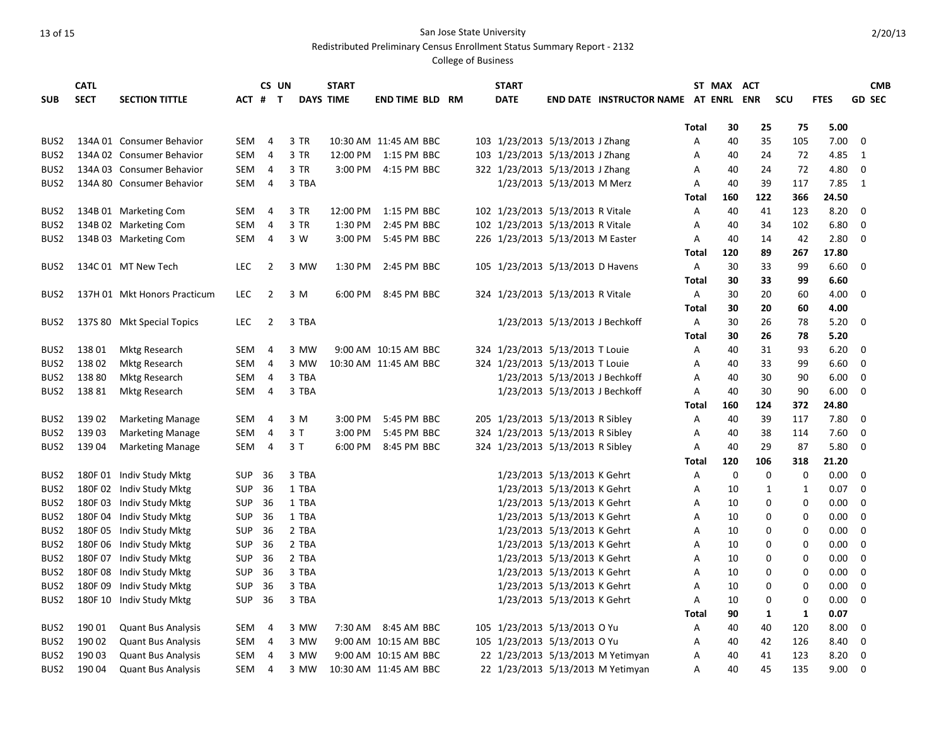Redistributed Preliminary Census Enrollment Status Summary Report - 2132

|                  | <b>CATL</b> |                              |            | CS UN          |       | <b>START</b>     |                        |  | <b>START</b> |                                  |                                      |       | ST MAX ACT  |             |            |             | <b>CMB</b>    |
|------------------|-------------|------------------------------|------------|----------------|-------|------------------|------------------------|--|--------------|----------------------------------|--------------------------------------|-------|-------------|-------------|------------|-------------|---------------|
| <b>SUB</b>       | <b>SECT</b> | <b>SECTION TITTLE</b>        | ACT #      | $\mathsf{T}$   |       | <b>DAYS TIME</b> | <b>END TIME BLD RM</b> |  | <b>DATE</b>  |                                  | END DATE INSTRUCTOR NAME AT ENRL ENR |       |             |             | <b>SCU</b> | <b>FTES</b> | <b>GD SEC</b> |
|                  |             |                              |            |                |       |                  |                        |  |              |                                  |                                      |       |             |             |            |             |               |
|                  |             |                              |            |                |       |                  |                        |  |              |                                  |                                      | Total | 30          | 25          | 75         | 5.00        |               |
| BUS <sub>2</sub> |             | 134A 01 Consumer Behavior    | SEM        | 4              | 3 TR  |                  | 10:30 AM 11:45 AM BBC  |  |              | 103 1/23/2013 5/13/2013 J Zhang  |                                      | Α     | 40          | 35          | 105        | 7.00        | 0             |
| BUS <sub>2</sub> |             | 134A 02 Consumer Behavior    | <b>SEM</b> | 4              | 3 TR  |                  | 12:00 PM 1:15 PM BBC   |  |              | 103 1/23/2013 5/13/2013 J Zhang  |                                      | A     | 40          | 24          | 72         | 4.85        | 1             |
| BUS <sub>2</sub> |             | 134A 03 Consumer Behavior    | SEM        | 4              | 3 TR  |                  | 3:00 PM 4:15 PM BBC    |  |              | 322 1/23/2013 5/13/2013 J Zhang  |                                      | Α     | 40          | 24          | 72         | 4.80        | 0             |
| BUS <sub>2</sub> |             | 134A 80 Consumer Behavior    | SEM        | 4              | 3 TBA |                  |                        |  |              | 1/23/2013 5/13/2013 M Merz       |                                      | Α     | 40          | 39          | 117        | 7.85        | 1             |
|                  |             |                              |            |                |       |                  |                        |  |              |                                  |                                      | Total | 160         | 122         | 366        | 24.50       |               |
| BUS2             |             | 134B 01 Marketing Com        | SEM        | 4              | 3 TR  |                  | 12:00 PM 1:15 PM BBC   |  |              | 102 1/23/2013 5/13/2013 R Vitale |                                      | Α     | 40          | 41          | 123        | 8.20        | 0             |
| BUS <sub>2</sub> |             | 134B 02 Marketing Com        | SEM        | 4              | 3 TR  |                  | 1:30 PM 2:45 PM BBC    |  |              | 102 1/23/2013 5/13/2013 R Vitale |                                      | Α     | 40          | 34          | 102        | 6.80        | 0             |
| BUS <sub>2</sub> |             | 134B 03 Marketing Com        | SEM        | $\overline{4}$ | 3 W   | 3:00 PM          | 5:45 PM BBC            |  |              | 226 1/23/2013 5/13/2013 M Easter |                                      | A     | 40          | 14          | 42         | 2.80        | 0             |
|                  |             |                              |            |                |       |                  |                        |  |              |                                  |                                      | Total | 120         | 89          | 267        | 17.80       |               |
| BUS <sub>2</sub> |             | 134C 01 MT New Tech          | <b>LEC</b> | 2              | 3 MW  | 1:30 PM          | 2:45 PM BBC            |  |              | 105 1/23/2013 5/13/2013 D Havens |                                      | A     | 30          | 33          | 99         | 6.60        | $\mathbf 0$   |
|                  |             |                              |            |                |       |                  |                        |  |              |                                  |                                      | Total | 30          | 33          | 99         | 6.60        |               |
| BUS <sub>2</sub> |             | 137H 01 Mkt Honors Practicum | <b>LEC</b> | $\overline{2}$ | 3 M   |                  | 6:00 PM 8:45 PM BBC    |  |              | 324 1/23/2013 5/13/2013 R Vitale |                                      | Α     | 30          | 20          | 60         | 4.00        | 0             |
|                  |             |                              |            |                |       |                  |                        |  |              |                                  |                                      | Total | 30          | 20          | 60         | 4.00        |               |
| BUS2             |             | 137S 80 Mkt Special Topics   | LEC        | 2              | 3 TBA |                  |                        |  |              | 1/23/2013 5/13/2013 J Bechkoff   |                                      | A     | 30          | 26          | 78         | 5.20        | 0             |
|                  |             |                              |            |                |       |                  |                        |  |              |                                  |                                      | Total | 30          | 26          | 78         | 5.20        |               |
| BUS2             | 13801       | Mktg Research                | SEM        | 4              | 3 MW  |                  | 9:00 AM 10:15 AM BBC   |  |              | 324 1/23/2013 5/13/2013 T Louie  |                                      | Α     | 40          | 31          | 93         | 6.20        | 0             |
| BUS2             | 13802       | <b>Mktg Research</b>         | SEM        | 4              | 3 MW  |                  | 10:30 AM 11:45 AM BBC  |  |              | 324 1/23/2013 5/13/2013 T Louie  |                                      | Α     | 40          | 33          | 99         | 6.60        | 0             |
| BUS <sub>2</sub> | 138 80      | <b>Mktg Research</b>         | SEM        | 4              | 3 TBA |                  |                        |  |              | 1/23/2013 5/13/2013 J Bechkoff   |                                      | Α     | 40          | 30          | 90         | 6.00        | 0             |
| BUS2             | 13881       | Mktg Research                | SEM        | $\overline{4}$ | 3 TBA |                  |                        |  |              | 1/23/2013 5/13/2013 J Bechkoff   |                                      | A     | 40          | 30          | 90         | 6.00        | 0             |
|                  |             |                              |            |                |       |                  |                        |  |              |                                  |                                      | Total | 160         | 124         | 372        | 24.80       |               |
| BUS <sub>2</sub> | 139 02      | <b>Marketing Manage</b>      | SEM        | 4              | 3 M   | 3:00 PM          | 5:45 PM BBC            |  |              | 205 1/23/2013 5/13/2013 R Sibley |                                      | Α     | 40          | 39          | 117        | 7.80        | $\mathbf 0$   |
| BUS <sub>2</sub> | 13903       | <b>Marketing Manage</b>      | SEM        | 4              | 3 T   | 3:00 PM          | 5:45 PM BBC            |  |              | 324 1/23/2013 5/13/2013 R Sibley |                                      | Α     | 40          | 38          | 114        | 7.60        | 0             |
| BUS <sub>2</sub> | 13904       | <b>Marketing Manage</b>      | SEM        | 4              | 3 T   | 6:00 PM          | 8:45 PM BBC            |  |              | 324 1/23/2013 5/13/2013 R Sibley |                                      | A     | 40          | 29          | 87         | 5.80        | $\mathbf 0$   |
|                  |             |                              |            |                |       |                  |                        |  |              |                                  |                                      | Total | 120         | 106         | 318        | 21.20       |               |
| BUS <sub>2</sub> |             | 180F 01 Indiv Study Mktg     | SUP        | 36             | 3 TBA |                  |                        |  |              | 1/23/2013 5/13/2013 K Gehrt      |                                      | Α     | $\mathbf 0$ | $\mathbf 0$ | 0          | 0.00        | 0             |
| BUS <sub>2</sub> |             | 180F 02 Indiv Study Mktg     | SUP        | 36             | 1 TBA |                  |                        |  |              | 1/23/2013 5/13/2013 K Gehrt      |                                      | Α     | 10          | 1           | 1          | 0.07        | $\mathbf 0$   |
| BUS <sub>2</sub> |             | 180F 03 Indiv Study Mktg     | <b>SUP</b> | -36            | 1 TBA |                  |                        |  |              | 1/23/2013 5/13/2013 K Gehrt      |                                      | A     | 10          | 0           | 0          | 0.00        | 0             |
| BUS <sub>2</sub> |             | 180F 04 Indiv Study Mktg     | <b>SUP</b> | -36            | 1 TBA |                  |                        |  |              | 1/23/2013 5/13/2013 K Gehrt      |                                      | Α     | 10          | 0           | 0          | 0.00        | 0             |
| BUS <sub>2</sub> |             | 180F 05 Indiv Study Mktg     | <b>SUP</b> | 36             | 2 TBA |                  |                        |  |              | 1/23/2013 5/13/2013 K Gehrt      |                                      | A     | 10          | 0           | 0          | 0.00        | $\mathbf 0$   |
| BUS <sub>2</sub> |             | 180F 06 Indiv Study Mktg     | SUP        | 36             | 2 TBA |                  |                        |  |              | 1/23/2013 5/13/2013 K Gehrt      |                                      | A     | 10          | 0           | 0          | 0.00        | 0             |
| BUS <sub>2</sub> |             | 180F 07 Indiv Study Mktg     | SUP        | 36             | 2 TBA |                  |                        |  |              | 1/23/2013 5/13/2013 K Gehrt      |                                      | Α     | 10          | 0           | 0          | 0.00        | 0             |
| BUS2             |             | 180F 08 Indiv Study Mktg     | <b>SUP</b> | 36             | 3 TBA |                  |                        |  |              | 1/23/2013 5/13/2013 K Gehrt      |                                      | Α     | 10          | 0           | 0          | 0.00        | $\mathbf 0$   |
| BUS <sub>2</sub> |             | 180F 09 Indiv Study Mktg     | <b>SUP</b> | 36             | 3 TBA |                  |                        |  |              | 1/23/2013 5/13/2013 K Gehrt      |                                      | Α     | 10          | 0           | 0          | 0.00        | 0             |
| BUS <sub>2</sub> |             | 180F 10 Indiv Study Mktg     | <b>SUP</b> | 36             | 3 TBA |                  |                        |  |              | 1/23/2013 5/13/2013 K Gehrt      |                                      | A     | 10          | 0           | 0          | 0.00        | $\mathbf 0$   |
|                  |             |                              |            |                |       |                  |                        |  |              |                                  |                                      | Total | 90          | 1           | 1          | 0.07        |               |
| BUS <sub>2</sub> | 190 01      | <b>Quant Bus Analysis</b>    | SEM        | 4              | 3 MW  |                  | 7:30 AM 8:45 AM BBC    |  |              | 105 1/23/2013 5/13/2013 O Yu     |                                      | A     | 40          | 40          | 120        | 8.00        | 0             |
| BUS <sub>2</sub> | 190 02      | <b>Quant Bus Analysis</b>    | SEM        | 4              | 3 MW  |                  | 9:00 AM 10:15 AM BBC   |  |              | 105 1/23/2013 5/13/2013 O Yu     |                                      | A     | 40          | 42          | 126        | 8.40        | 0             |
| BUS <sub>2</sub> | 190 03      | <b>Quant Bus Analysis</b>    | SEM        | $\overline{4}$ | 3 MW  |                  | 9:00 AM 10:15 AM BBC   |  |              |                                  | 22 1/23/2013 5/13/2013 M Yetimyan    | A     | 40          | 41          | 123        | 8.20        | $\mathbf 0$   |
| BUS <sub>2</sub> | 19004       | <b>Quant Bus Analysis</b>    | SEM        | $\overline{4}$ | 3 MW  |                  | 10:30 AM 11:45 AM BBC  |  |              |                                  | 22 1/23/2013 5/13/2013 M Yetimyan    | A     | 40          | 45          | 135        | 9.00        | 0             |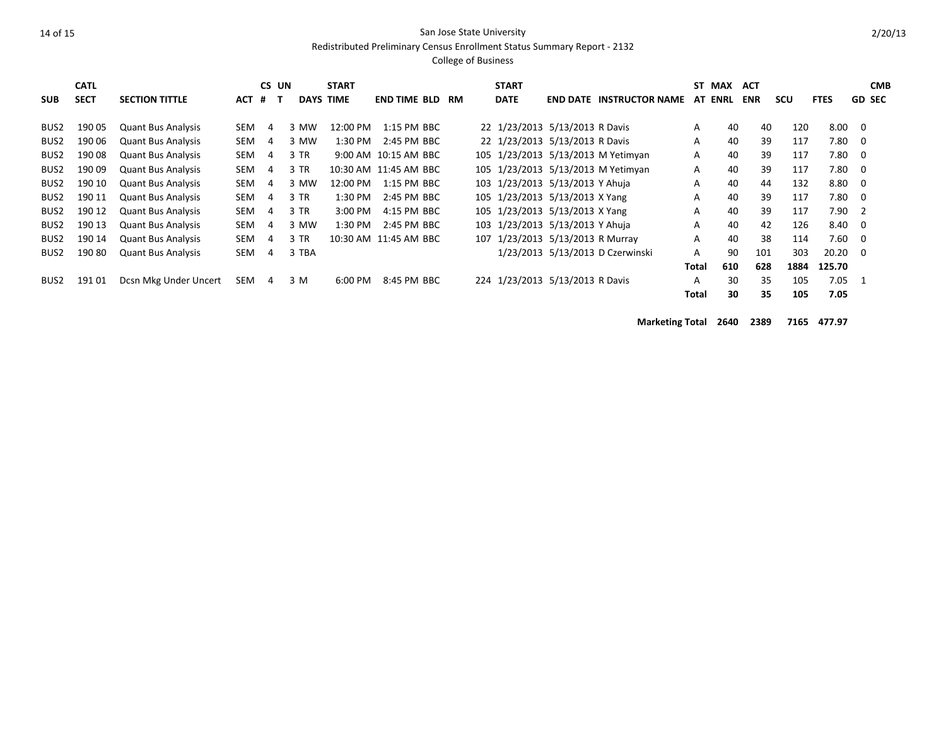Redistributed Preliminary Census Enrollment Status Summary Report - 2132

#### College of Business

|                  | <b>CATL</b> |                           |            | CS UN |        | <b>START</b>     |                       |    | <b>START</b>                     |                                         |              | ST MAX | <b>ACT</b> |      |             |                         | <b>CMB</b>    |
|------------------|-------------|---------------------------|------------|-------|--------|------------------|-----------------------|----|----------------------------------|-----------------------------------------|--------------|--------|------------|------|-------------|-------------------------|---------------|
| <b>SUB</b>       | <b>SECT</b> | <b>SECTION TITTLE</b>     | ACT        | #     |        | <b>DAYS TIME</b> | <b>END TIME BLD</b>   | RM | <b>DATE</b>                      | <b>END DATE INSTRUCTOR NAME AT ENRL</b> |              |        | <b>ENR</b> | scu  | <b>FTES</b> |                         | <b>GD SEC</b> |
| BUS2             | 190 05      | <b>Quant Bus Analysis</b> | SEM        | 4     | 3 MW   | 12:00 PM         | 1:15 PM BBC           |    | 22 1/23/2013 5/13/2013 R Davis   |                                         | A            | 40     | 40         | 120  | 8.00        | 0                       |               |
| BUS2             | 190 06      | <b>Quant Bus Analysis</b> | SEM        | 4     | 3 MW   | $1:30$ PM        | 2:45 PM BBC           |    | 22 1/23/2013 5/13/2013 R Davis   |                                         | A            | 40     | 39         | 117  | 7.80        | $\overline{\mathbf{0}}$ |               |
| BUS <sub>2</sub> | 190 08      | <b>Quant Bus Analysis</b> | SEM        | 4     | $3$ TR |                  | 9:00 AM 10:15 AM BBC  |    |                                  | 105 1/23/2013 5/13/2013 M Yetimyan      | A            | 40     | 39         | 117  | 7.80        | $\Omega$                |               |
| BUS <sub>2</sub> | 190 09      | <b>Quant Bus Analysis</b> | SEM        | 4     | $3$ TR |                  | 10:30 AM 11:45 AM BBC |    |                                  | 105 1/23/2013 5/13/2013 M Yetimyan      | $\mathsf{A}$ | 40     | 39         | 117  | $7.80\ 0$   |                         |               |
| BUS <sub>2</sub> | 190 10      | <b>Quant Bus Analysis</b> | SEM        | 4     | 3 MW   | 12:00 PM         | 1:15 PM BBC           |    | 103 1/23/2013 5/13/2013 Y Ahuja  |                                         | A            | 40     | 44         | 132  | 8.80        | 0                       |               |
| BUS <sub>2</sub> | 190 11      | <b>Quant Bus Analysis</b> | SEM        | 4     | 3 TR   | $1:30$ PM        | 2:45 PM BBC           |    | 105 1/23/2013 5/13/2013 X Yang   |                                         | A            | 40     | 39         | 117  | 7.80        | - 0                     |               |
| BUS <sub>2</sub> | 190 12      | <b>Quant Bus Analysis</b> | <b>SEM</b> | 4     | $3$ TR | 3:00 PM          | 4:15 PM BBC           |    | 105 1/23/2013 5/13/2013 X Yang   |                                         | A            | 40     | 39         | 117  | 7.90        | $\overline{2}$          |               |
| BUS2             | 190 13      | <b>Quant Bus Analysis</b> | <b>SEM</b> | 4     | 3 MW   | 1:30 PM          | 2:45 PM BBC           |    | 103 1/23/2013 5/13/2013 Y Ahuja  |                                         | A            | 40     | 42         | 126  | 8.40        | 0                       |               |
| BUS <sub>2</sub> | 190 14      | <b>Quant Bus Analysis</b> | SEM        | 4     | $3$ TR |                  | 10:30 AM 11:45 AM BBC |    | 107 1/23/2013 5/13/2013 R Murray |                                         | A            | 40     | 38         | 114  | 7.60        | $\overline{\mathbf{0}}$ |               |
| BUS <sub>2</sub> | 19080       | <b>Quant Bus Analysis</b> | SEM        | 4     | 3 TBA  |                  |                       |    |                                  | 1/23/2013 5/13/2013 D Czerwinski        | A            | 90     | 101        | 303  | 20.20       | $\Omega$                |               |
|                  |             |                           |            |       |        |                  |                       |    |                                  |                                         | Total        | 610    | 628        | 1884 | 125.70      |                         |               |
| BUS <sub>2</sub> | 191 01      | Dcsn Mkg Under Uncert     | SEM        | 4     | 3 M    | 6:00 PM          | 8:45 PM BBC           |    | 224 1/23/2013 5/13/2013 R Davis  |                                         | A            | 30     | 35         | 105  | 7.05        | 1                       |               |
|                  |             |                           |            |       |        |                  |                       |    |                                  |                                         | Total        | 30     | 35         | 105  | 7.05        |                         |               |

**Marketing Total 2640 2389 7165 477.97**